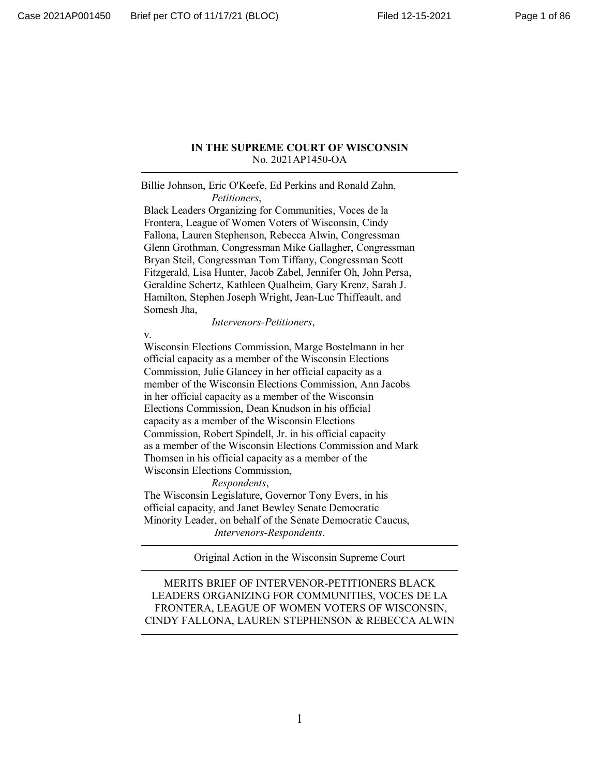#### **IN THE SUPREME COURT OF WISCONSIN** No. 2021AP1450-OA

Billie Johnson, Eric O'Keefe, Ed Perkins and Ronald Zahn, *Petitioners*,

 Black Leaders Organizing for Communities, Voces de la Frontera, League of Women Voters of Wisconsin, Cindy Fallona, Lauren Stephenson, Rebecca Alwin, Congressman Glenn Grothman, Congressman Mike Gallagher, Congressman Bryan Steil, Congressman Tom Tiffany, Congressman Scott Fitzgerald, Lisa Hunter, Jacob Zabel, Jennifer Oh, John Persa, Geraldine Schertz, Kathleen Qualheim, Gary Krenz, Sarah J. Hamilton, Stephen Joseph Wright, Jean-Luc Thiffeault, and Somesh Jha,

*Intervenors-Petitioners*,

v.

 Wisconsin Elections Commission, Marge Bostelmann in her official capacity as a member of the Wisconsin Elections Commission, Julie Glancey in her official capacity as a member of the Wisconsin Elections Commission, Ann Jacobs in her official capacity as a member of the Wisconsin Elections Commission, Dean Knudson in his official capacity as a member of the Wisconsin Elections Commission, Robert Spindell, Jr. in his official capacity as a member of the Wisconsin Elections Commission and Mark Thomsen in his official capacity as a member of the Wisconsin Elections Commission,

*Respondents*,

 The Wisconsin Legislature, Governor Tony Evers, in his official capacity, and Janet Bewley Senate Democratic Minority Leader, on behalf of the Senate Democratic Caucus, *Intervenors-Respondents*.

Original Action in the Wisconsin Supreme Court

MERITS BRIEF OF INTERVENOR-PETITIONERS BLACK LEADERS ORGANIZING FOR COMMUNITIES, VOCES DE LA FRONTERA, LEAGUE OF WOMEN VOTERS OF WISCONSIN, CINDY FALLONA, LAUREN STEPHENSON & REBECCA ALWIN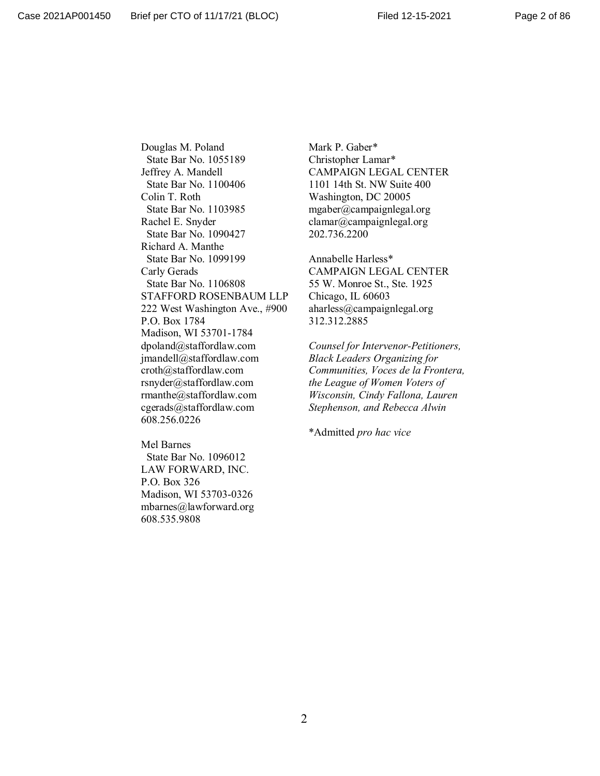Douglas M. Poland State Bar No. 1055189 Jeffrey A. Mandell State Bar No. 1100406 Colin T. Roth State Bar No. 1103985 Rachel E. Snyder State Bar No. 1090427 Richard A. Manthe State Bar No. 1099199 Carly Gerads State Bar No. 1106808 STAFFORD ROSENBAUM LLP 222 West Washington Ave., #900 P.O. Box 1784 Madison, WI 53701-1784 dpoland@staffordlaw.com jmandell@staffordlaw.com croth@staffordlaw.com rsnyder@staffordlaw.com rmanthe@staffordlaw.com cgerads@staffordlaw.com 608.256.0226

Mark P. Gaber\* Christopher Lamar\* CAMPAIGN LEGAL CENTER 1101 14th St. NW Suite 400 Washington, DC 20005 mgaber@campaignlegal.org clamar@campaignlegal.org 202.736.2200

Annabelle Harless\* CAMPAIGN LEGAL CENTER 55 W. Monroe St., Ste. 1925 Chicago, IL 60603 aharless@campaignlegal.org 312.312.2885

*Counsel for Intervenor-Petitioners, Black Leaders Organizing for Communities, Voces de la Frontera, the League of Women Voters of Wisconsin, Cindy Fallona, Lauren Stephenson, and Rebecca Alwin*

\*Admitted *pro hac vice*

Mel Barnes State Bar No. 1096012 LAW FORWARD, INC. P.O. Box 326 Madison, WI 53703-0326 mbarnes@lawforward.org 608.535.9808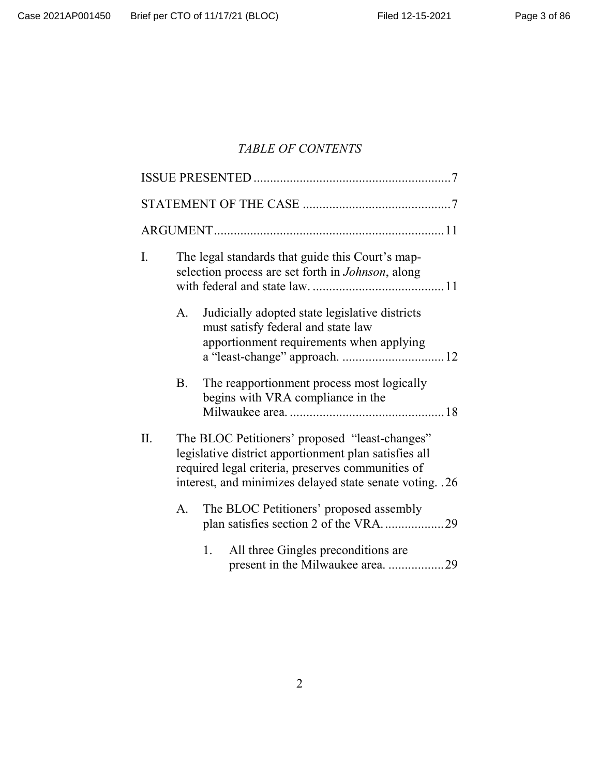# *TABLE OF CONTENTS*

| I.  | The legal standards that guide this Court's map-<br>selection process are set forth in <i>Johnson</i> , along                                                                                                            |                                                                                                                                  |  |  |
|-----|--------------------------------------------------------------------------------------------------------------------------------------------------------------------------------------------------------------------------|----------------------------------------------------------------------------------------------------------------------------------|--|--|
|     | A.                                                                                                                                                                                                                       | Judicially adopted state legislative districts<br>must satisfy federal and state law<br>apportionment requirements when applying |  |  |
|     | B.                                                                                                                                                                                                                       | The reapportionment process most logically<br>begins with VRA compliance in the                                                  |  |  |
| II. | The BLOC Petitioners' proposed "least-changes"<br>legislative district apportionment plan satisfies all<br>required legal criteria, preserves communities of<br>interest, and minimizes delayed state senate voting. .26 |                                                                                                                                  |  |  |
|     | A.                                                                                                                                                                                                                       | The BLOC Petitioners' proposed assembly<br>plan satisfies section 2 of the VRA29                                                 |  |  |
|     |                                                                                                                                                                                                                          | 1.<br>All three Gingles preconditions are<br>present in the Milwaukee area. 29                                                   |  |  |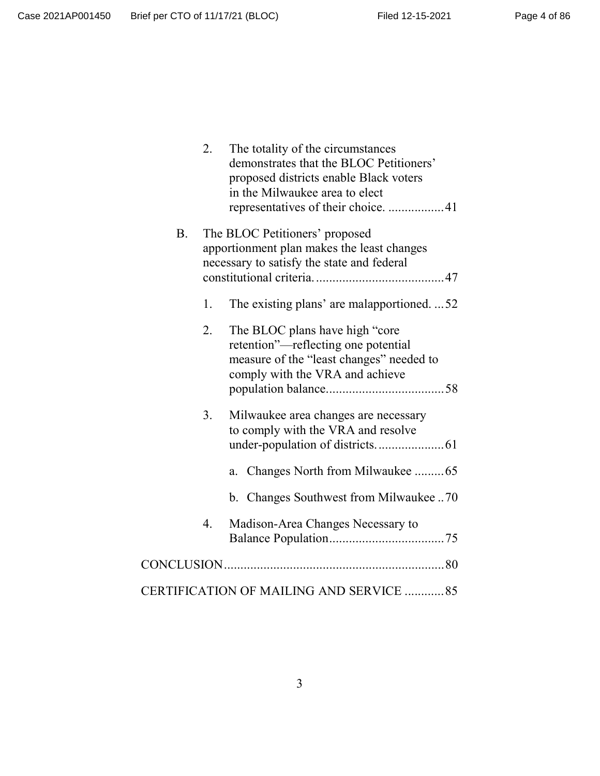|                                         | 2.                                                                                                                         | The totality of the circumstances<br>demonstrates that the BLOC Petitioners'<br>proposed districts enable Black voters<br>in the Milwaukee area to elect<br>representatives of their choice. 41 |  |  |  |
|-----------------------------------------|----------------------------------------------------------------------------------------------------------------------------|-------------------------------------------------------------------------------------------------------------------------------------------------------------------------------------------------|--|--|--|
| Β.                                      | The BLOC Petitioners' proposed<br>apportionment plan makes the least changes<br>necessary to satisfy the state and federal |                                                                                                                                                                                                 |  |  |  |
|                                         | 1.                                                                                                                         | The existing plans' are malapportioned52                                                                                                                                                        |  |  |  |
|                                         | 2.                                                                                                                         | The BLOC plans have high "core"<br>retention"—reflecting one potential<br>measure of the "least changes" needed to<br>comply with the VRA and achieve                                           |  |  |  |
|                                         | 3.                                                                                                                         | Milwaukee area changes are necessary<br>to comply with the VRA and resolve<br>Changes North from Milwaukee 65<br>a.                                                                             |  |  |  |
|                                         |                                                                                                                            | b. Changes Southwest from Milwaukee70                                                                                                                                                           |  |  |  |
|                                         | 4.                                                                                                                         | Madison-Area Changes Necessary to                                                                                                                                                               |  |  |  |
|                                         |                                                                                                                            |                                                                                                                                                                                                 |  |  |  |
| CERTIFICATION OF MAILING AND SERVICE 85 |                                                                                                                            |                                                                                                                                                                                                 |  |  |  |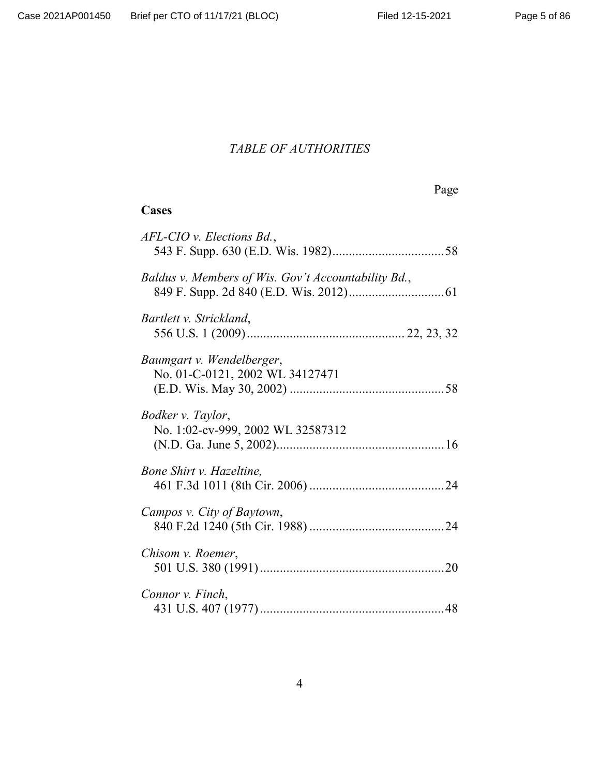# *TABLE OF AUTHORITIES*

Page

# **Cases**

| $AFL-CIO$ v. Elections $Bd$ .,                               |  |
|--------------------------------------------------------------|--|
| Baldus v. Members of Wis. Gov't Accountability Bd.,          |  |
| Bartlett v. Strickland,                                      |  |
| Baumgart v. Wendelberger,<br>No. 01-C-0121, 2002 WL 34127471 |  |
| Bodker v. Taylor,<br>No. 1:02-cv-999, 2002 WL 32587312       |  |
| Bone Shirt v. Hazeltine,                                     |  |
| Campos v. City of Baytown,                                   |  |
| Chisom v. Roemer,                                            |  |
| Connor v. Finch,                                             |  |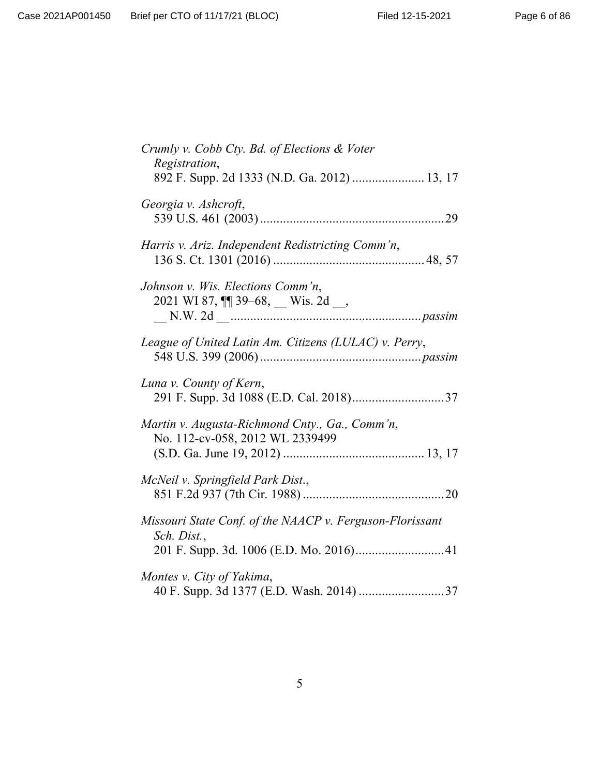| Crumly v. Cobb Cty. Bd. of Elections & Voter<br>Registration,                     |
|-----------------------------------------------------------------------------------|
| 892 F. Supp. 2d 1333 (N.D. Ga. 2012)  13, 17                                      |
| Georgia v. Ashcroft,                                                              |
| Harris v. Ariz. Independent Redistricting Comm'n,                                 |
| Johnson v. Wis. Elections Comm'n,<br>2021 WI 87, $\P$ 39-68, Wis. 2d              |
| League of United Latin Am. Citizens (LULAC) v. Perry,                             |
| Luna v. County of Kern,<br>291 F. Supp. 3d 1088 (E.D. Cal. 2018)37                |
| Martin v. Augusta-Richmond Cnty., Ga., Comm'n,<br>No. 112-cv-058, 2012 WL 2339499 |
| McNeil v. Springfield Park Dist.,                                                 |
| Missouri State Conf. of the NAACP v. Ferguson-Florissant<br>Sch. Dist.,           |
|                                                                                   |
| Montes v. City of Yakima,<br>40 F. Supp. 3d 1377 (E.D. Wash. 2014) 37             |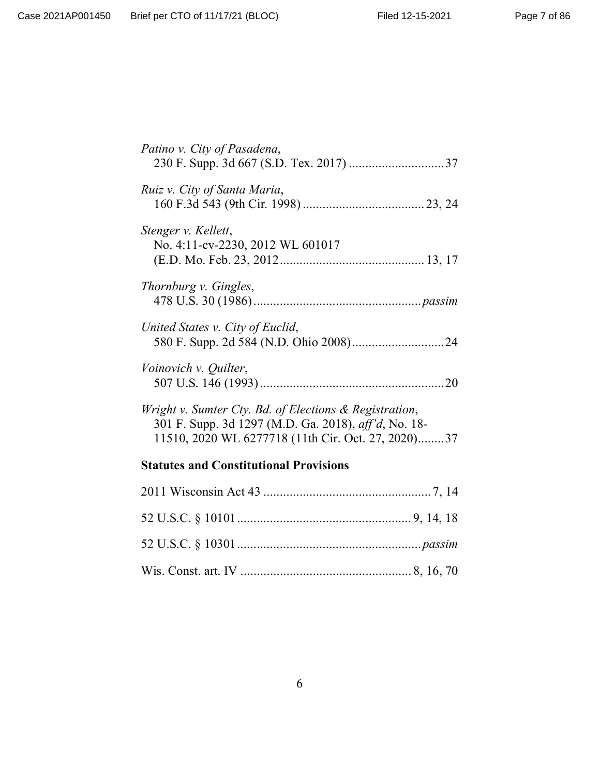| Patino v. City of Pasadena,                                                                                                                                          |
|----------------------------------------------------------------------------------------------------------------------------------------------------------------------|
| Ruiz v. City of Santa Maria,                                                                                                                                         |
| Stenger v. Kellett,<br>No. 4:11-cv-2230, 2012 WL 601017                                                                                                              |
| Thornburg v. Gingles,                                                                                                                                                |
| United States v. City of Euclid,                                                                                                                                     |
| Voinovich v. Quilter,                                                                                                                                                |
| Wright v. Sumter Cty. Bd. of Elections & Registration,<br>301 F. Supp. 3d 1297 (M.D. Ga. 2018), aff'd, No. 18-<br>11510, 2020 WL 6277718 (11th Cir. Oct. 27, 2020)37 |

# **Statutes and Constitutional Provisions**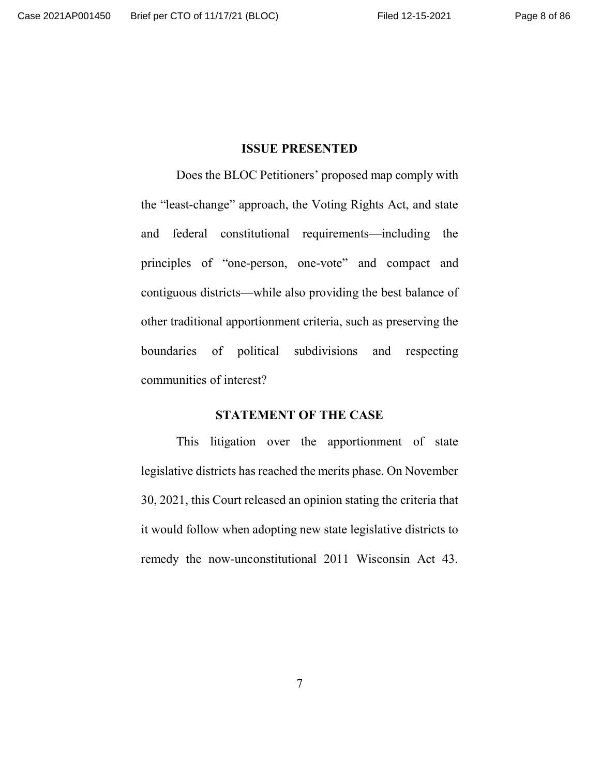#### **ISSUE PRESENTED**

Does the BLOC Petitioners' proposed map comply with the "least-change" approach, the Voting Rights Act, and state and federal constitutional requirements—including the principles of "one-person, one-vote" and compact and contiguous districts—while also providing the best balance of other traditional apportionment criteria, such as preserving the boundaries of political subdivisions and respecting communities of interest?

#### **STATEMENT OF THE CASE**

This litigation over the apportionment of state legislative districts has reached the merits phase. On November 30, 2021, this Court released an opinion stating the criteria that it would follow when adopting new state legislative districts to remedy the now-unconstitutional 2011 Wisconsin Act 43.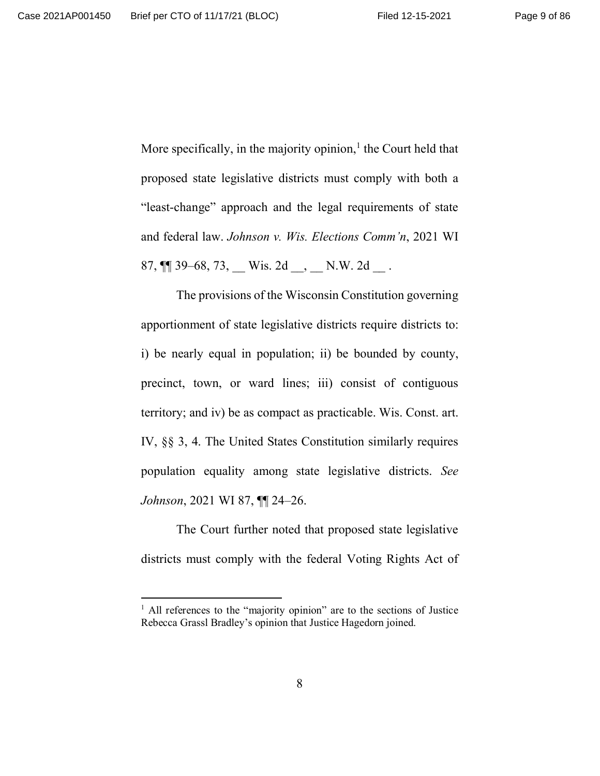More specifically, in the majority opinion, $<sup>1</sup>$  the Court held that</sup> proposed state legislative districts must comply with both a "least-change" approach and the legal requirements of state and federal law. *Johnson v. Wis. Elections Comm'n*, 2021 WI 87,  $\P$  39–68, 73, Wis. 2d  $\Box$ , N.W. 2d  $\Box$ .

The provisions of the Wisconsin Constitution governing apportionment of state legislative districts require districts to: i) be nearly equal in population; ii) be bounded by county, precinct, town, or ward lines; iii) consist of contiguous territory; and iv) be as compact as practicable. Wis. Const. art. IV, §§ 3, 4. The United States Constitution similarly requires population equality among state legislative districts. *See Johnson*, 2021 WI 87, ¶¶ 24–26.

The Court further noted that proposed state legislative districts must comply with the federal Voting Rights Act of

<sup>&</sup>lt;sup>1</sup> All references to the "majority opinion" are to the sections of Justice Rebecca Grassl Bradley's opinion that Justice Hagedorn joined.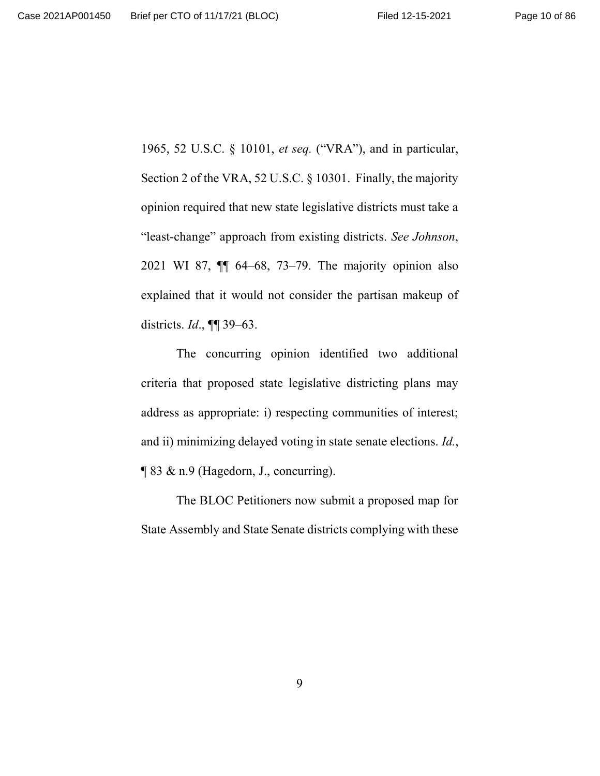1965, 52 U.S.C. § 10101, *et seq.* ("VRA"), and in particular, Section 2 of the VRA, 52 U.S.C. § 10301. Finally, the majority opinion required that new state legislative districts must take a "least-change" approach from existing districts. *See Johnson*, 2021 WI 87, ¶¶ 64–68, 73–79. The majority opinion also explained that it would not consider the partisan makeup of districts. *Id*., ¶¶ 39–63.

The concurring opinion identified two additional criteria that proposed state legislative districting plans may address as appropriate: i) respecting communities of interest; and ii) minimizing delayed voting in state senate elections. *Id.*, ¶ 83 & n.9 (Hagedorn, J., concurring).

The BLOC Petitioners now submit a proposed map for State Assembly and State Senate districts complying with these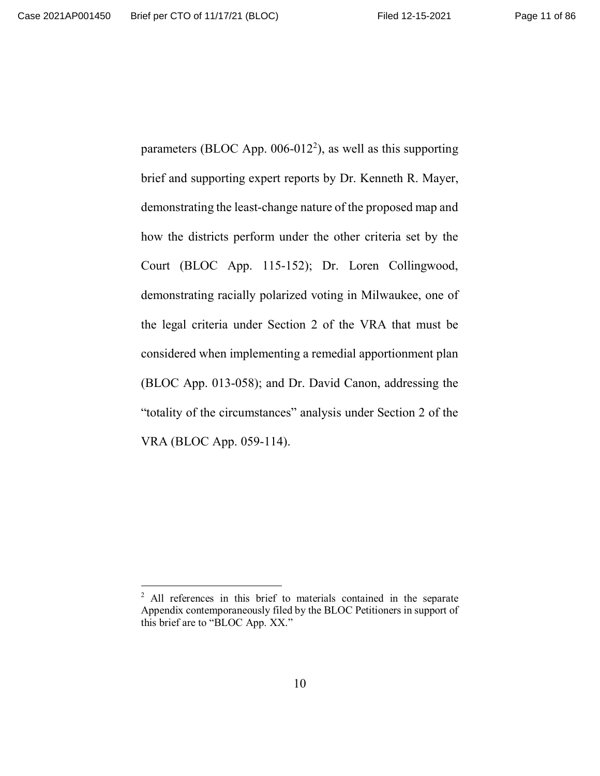parameters (BLOC App.  $006-012^2$ ), as well as this supporting brief and supporting expert reports by Dr. Kenneth R. Mayer, demonstrating the least-change nature of the proposed map and how the districts perform under the other criteria set by the Court (BLOC App. 115-152); Dr. Loren Collingwood, demonstrating racially polarized voting in Milwaukee, one of the legal criteria under Section 2 of the VRA that must be considered when implementing a remedial apportionment plan (BLOC App. 013-058); and Dr. David Canon, addressing the "totality of the circumstances" analysis under Section 2 of the VRA (BLOC App. 059-114).

<sup>&</sup>lt;sup>2</sup> All references in this brief to materials contained in the separate Appendix contemporaneously filed by the BLOC Petitioners in support of this brief are to "BLOC App. XX."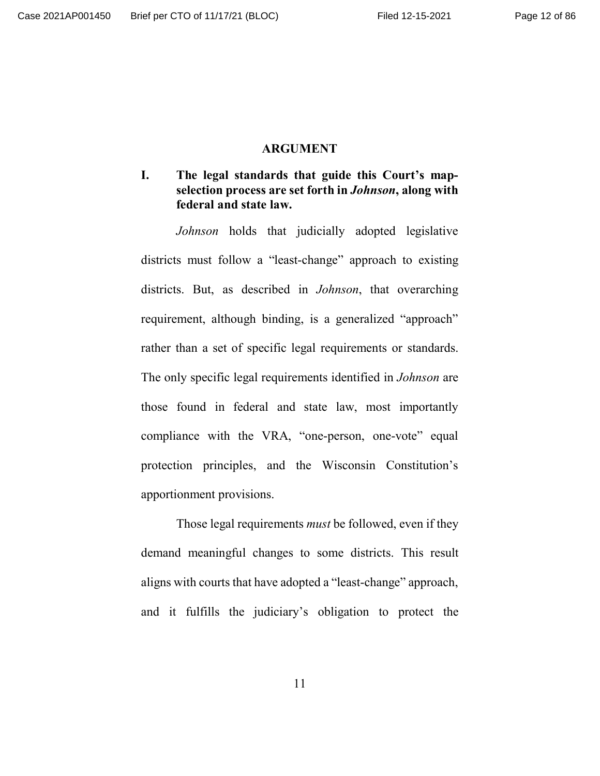#### **ARGUMENT**

## **I. The legal standards that guide this Court's mapselection process are set forth in** *Johnson***, along with federal and state law.**

*Johnson* holds that judicially adopted legislative districts must follow a "least-change" approach to existing districts. But, as described in *Johnson*, that overarching requirement, although binding, is a generalized "approach" rather than a set of specific legal requirements or standards. The only specific legal requirements identified in *Johnson* are those found in federal and state law, most importantly compliance with the VRA, "one-person, one-vote" equal protection principles, and the Wisconsin Constitution's apportionment provisions.

Those legal requirements *must* be followed, even if they demand meaningful changes to some districts. This result aligns with courts that have adopted a "least-change" approach, and it fulfills the judiciary's obligation to protect the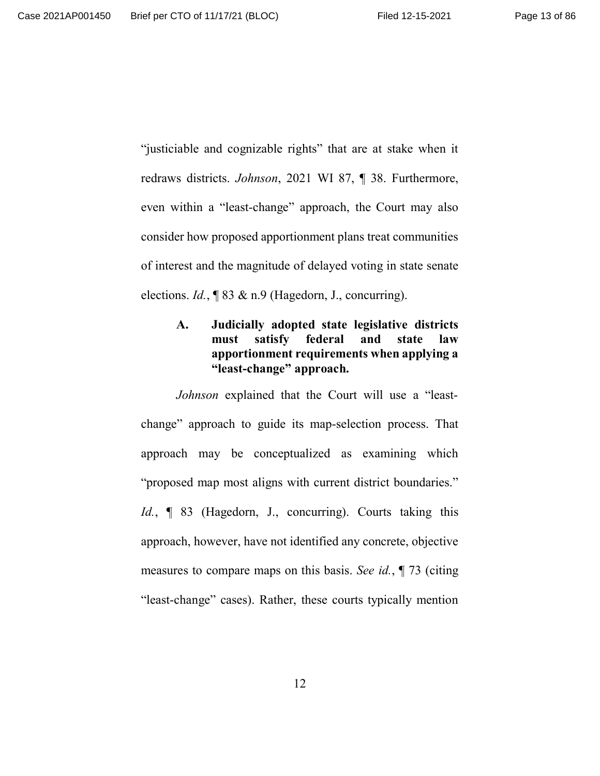"justiciable and cognizable rights" that are at stake when it redraws districts. *Johnson*, 2021 WI 87, ¶ 38. Furthermore, even within a "least-change" approach, the Court may also consider how proposed apportionment plans treat communities of interest and the magnitude of delayed voting in state senate elections. *Id.*, ¶ 83 & n.9 (Hagedorn, J., concurring).

# **A. Judicially adopted state legislative districts must satisfy federal and state law apportionment requirements when applying a "least-change" approach.**

*Johnson* explained that the Court will use a "leastchange" approach to guide its map-selection process. That approach may be conceptualized as examining which "proposed map most aligns with current district boundaries." *Id.*, **[83** (Hagedorn, J., concurring). Courts taking this approach, however, have not identified any concrete, objective measures to compare maps on this basis. *See id.*, ¶ 73 (citing "least-change" cases). Rather, these courts typically mention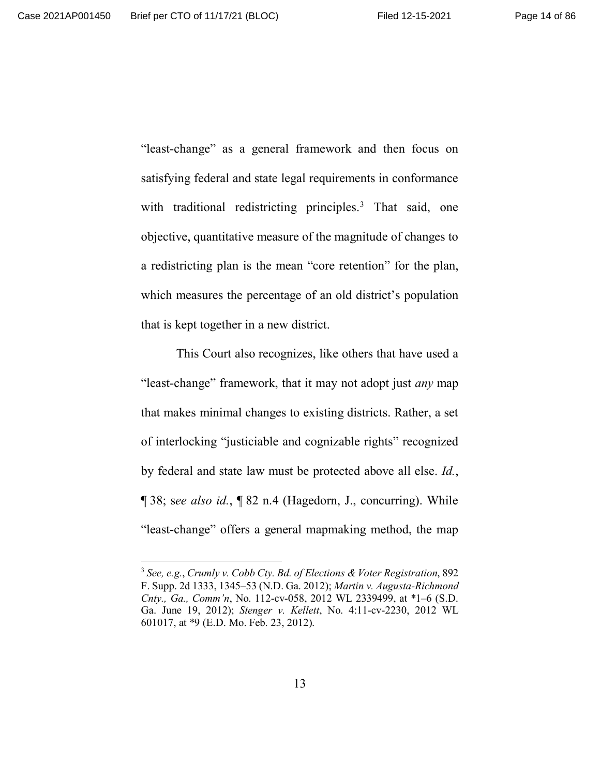"least-change" as a general framework and then focus on satisfying federal and state legal requirements in conformance with traditional redistricting principles.<sup>3</sup> That said, one objective, quantitative measure of the magnitude of changes to a redistricting plan is the mean "core retention" for the plan, which measures the percentage of an old district's population that is kept together in a new district.

This Court also recognizes, like others that have used a "least-change" framework, that it may not adopt just *any* map that makes minimal changes to existing districts. Rather, a set of interlocking "justiciable and cognizable rights" recognized by federal and state law must be protected above all else. *Id.*, ¶ 38; s*ee also id.*, ¶ 82 n.4 (Hagedorn, J., concurring). While "least-change" offers a general mapmaking method, the map

<sup>3</sup> *See, e.g.*, *Crumly v. Cobb Cty. Bd. of Elections & Voter Registration*, 892 F. Supp. 2d 1333, 1345–53 (N.D. Ga. 2012); *Martin v. Augusta-Richmond Cnty., Ga., Comm'n*, No. 112-cv-058, 2012 WL 2339499, at \*1–6 (S.D. Ga. June 19, 2012); *Stenger v. Kellett*, No. 4:11-cv-2230, 2012 WL 601017, at \*9 (E.D. Mo. Feb. 23, 2012).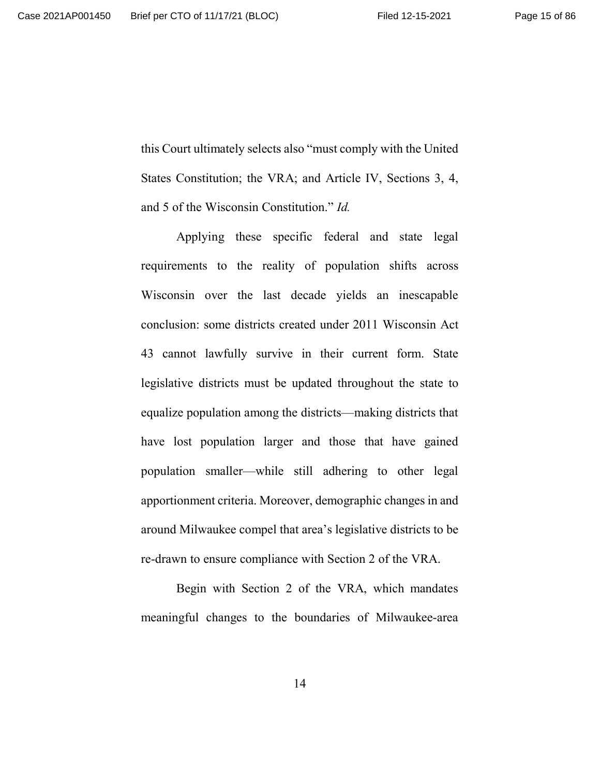this Court ultimately selects also "must comply with the United States Constitution; the VRA; and Article IV, Sections 3, 4, and 5 of the Wisconsin Constitution." *Id.*

Applying these specific federal and state legal requirements to the reality of population shifts across Wisconsin over the last decade yields an inescapable conclusion: some districts created under 2011 Wisconsin Act 43 cannot lawfully survive in their current form. State legislative districts must be updated throughout the state to equalize population among the districts—making districts that have lost population larger and those that have gained population smaller—while still adhering to other legal apportionment criteria. Moreover, demographic changes in and around Milwaukee compel that area's legislative districts to be re-drawn to ensure compliance with Section 2 of the VRA.

Begin with Section 2 of the VRA, which mandates meaningful changes to the boundaries of Milwaukee-area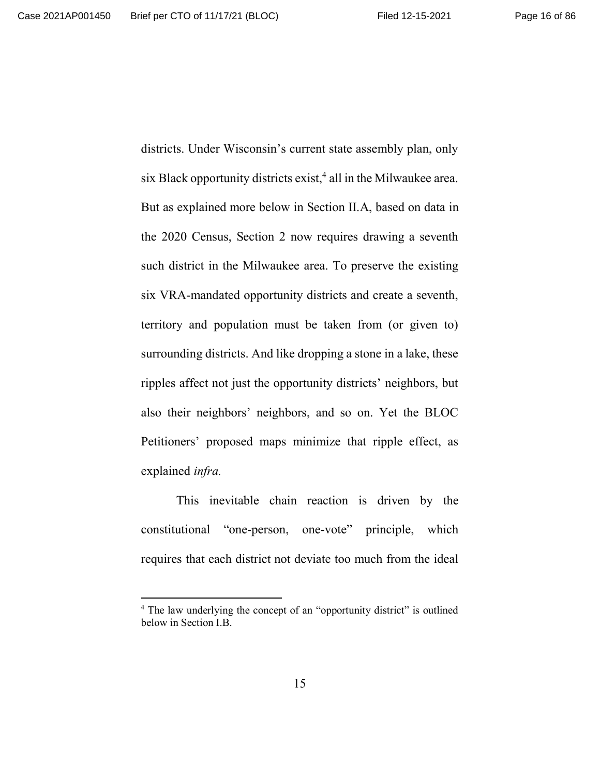districts. Under Wisconsin's current state assembly plan, only six Black opportunity districts exist,<sup>4</sup> all in the Milwaukee area. But as explained more below in Section II.A, based on data in the 2020 Census, Section 2 now requires drawing a seventh such district in the Milwaukee area. To preserve the existing six VRA-mandated opportunity districts and create a seventh, territory and population must be taken from (or given to) surrounding districts. And like dropping a stone in a lake, these ripples affect not just the opportunity districts' neighbors, but also their neighbors' neighbors, and so on. Yet the BLOC Petitioners' proposed maps minimize that ripple effect, as explained *infra.*

This inevitable chain reaction is driven by the constitutional "one-person, one-vote" principle, which requires that each district not deviate too much from the ideal

<sup>&</sup>lt;sup>4</sup> The law underlying the concept of an "opportunity district" is outlined below in Section I.B.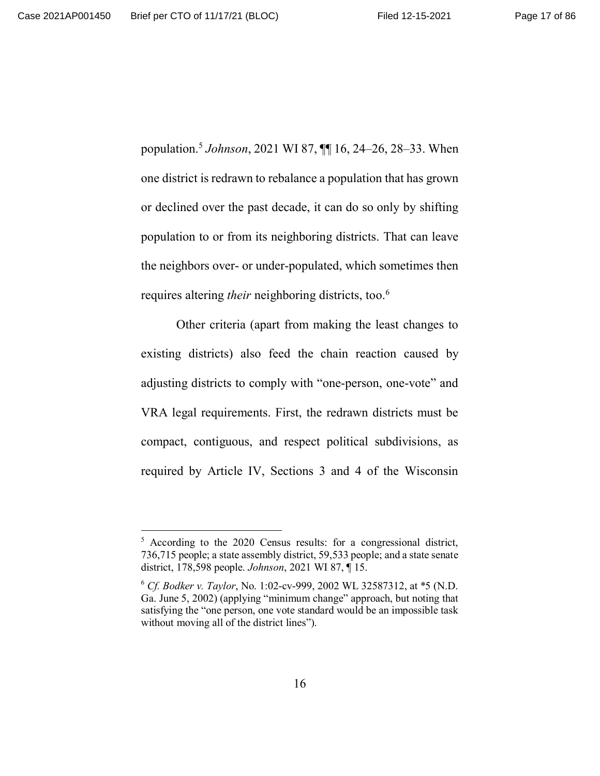population.<sup>5</sup> *Johnson*, 2021 WI 87, ¶¶ 16, 24–26, 28–33. When one district is redrawn to rebalance a population that has grown or declined over the past decade, it can do so only by shifting population to or from its neighboring districts. That can leave the neighbors over- or under-populated, which sometimes then requires altering *their* neighboring districts, too.<sup>6</sup>

Other criteria (apart from making the least changes to existing districts) also feed the chain reaction caused by adjusting districts to comply with "one-person, one-vote" and VRA legal requirements. First, the redrawn districts must be compact, contiguous, and respect political subdivisions, as required by Article IV, Sections 3 and 4 of the Wisconsin

<sup>&</sup>lt;sup>5</sup> According to the 2020 Census results: for a congressional district, 736,715 people; a state assembly district, 59,533 people; and a state senate district, 178,598 people. *Johnson*, 2021 WI 87, ¶ 15.

<sup>6</sup> *Cf. Bodker v. Taylor*, No. 1:02-cv-999, 2002 WL 32587312, at \*5 (N.D. Ga. June 5, 2002) (applying "minimum change" approach, but noting that satisfying the "one person, one vote standard would be an impossible task without moving all of the district lines").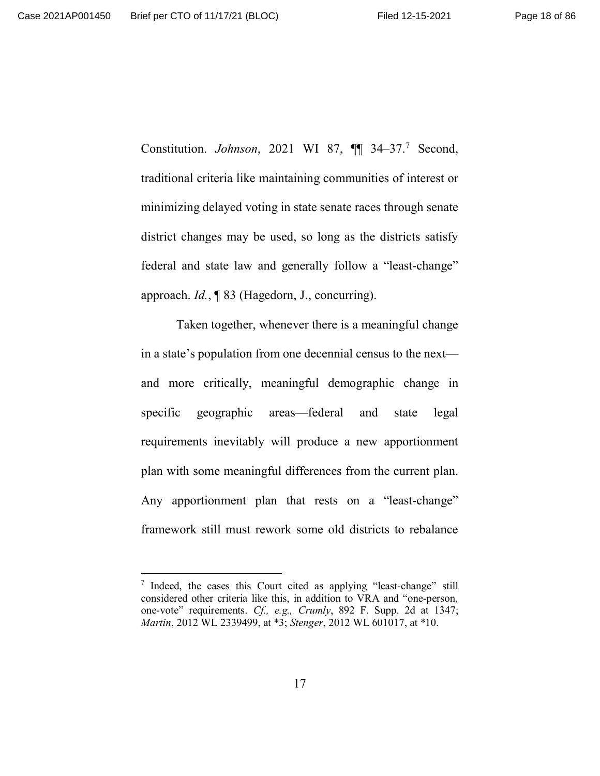Constitution. *Johnson*, 2021 WI 87,  $\P$  34-37.<sup>7</sup> Second, traditional criteria like maintaining communities of interest or minimizing delayed voting in state senate races through senate district changes may be used, so long as the districts satisfy federal and state law and generally follow a "least-change" approach. *Id.*, ¶ 83 (Hagedorn, J., concurring).

Taken together, whenever there is a meaningful change in a state's population from one decennial census to the next and more critically, meaningful demographic change in specific geographic areas—federal and state legal requirements inevitably will produce a new apportionment plan with some meaningful differences from the current plan. Any apportionment plan that rests on a "least-change" framework still must rework some old districts to rebalance

<sup>&</sup>lt;sup>7</sup> Indeed, the cases this Court cited as applying "least-change" still considered other criteria like this, in addition to VRA and "one-person, one-vote" requirements. *Cf., e.g., Crumly*, 892 F. Supp. 2d at 1347; *Martin*, 2012 WL 2339499, at \*3; *Stenger*, 2012 WL 601017, at \*10.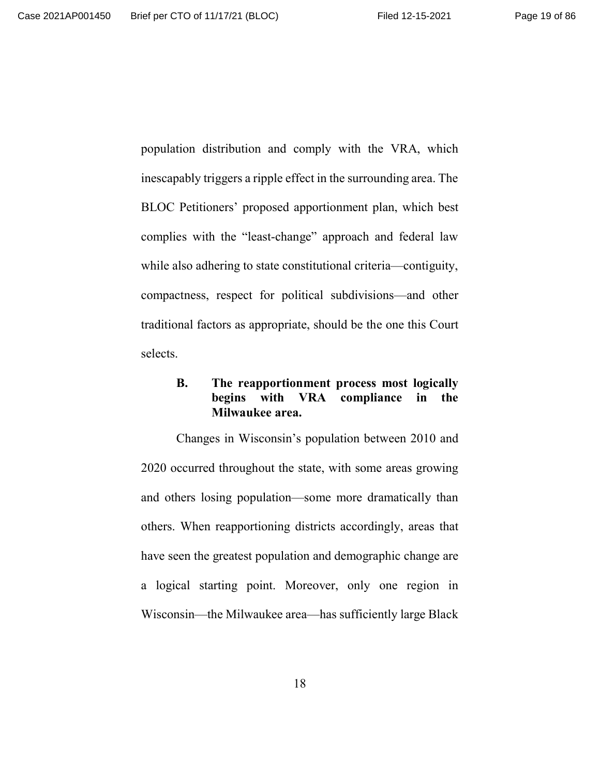population distribution and comply with the VRA, which inescapably triggers a ripple effect in the surrounding area. The BLOC Petitioners' proposed apportionment plan, which best complies with the "least-change" approach and federal law while also adhering to state constitutional criteria—contiguity, compactness, respect for political subdivisions—and other traditional factors as appropriate, should be the one this Court selects.

## **B. The reapportionment process most logically begins with VRA compliance in the Milwaukee area.**

Changes in Wisconsin's population between 2010 and 2020 occurred throughout the state, with some areas growing and others losing population—some more dramatically than others. When reapportioning districts accordingly, areas that have seen the greatest population and demographic change are a logical starting point. Moreover, only one region in Wisconsin—the Milwaukee area—has sufficiently large Black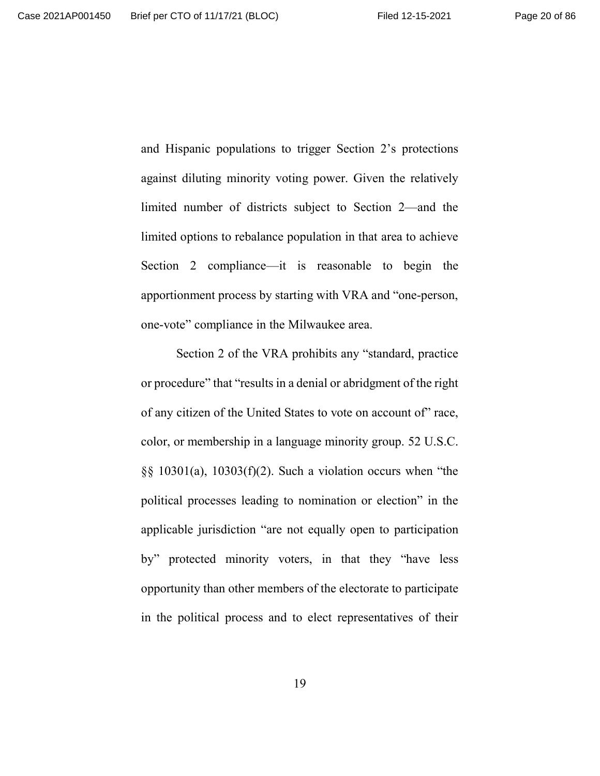and Hispanic populations to trigger Section 2's protections against diluting minority voting power. Given the relatively limited number of districts subject to Section 2—and the limited options to rebalance population in that area to achieve Section 2 compliance—it is reasonable to begin the apportionment process by starting with VRA and "one-person, one-vote" compliance in the Milwaukee area.

Section 2 of the VRA prohibits any "standard, practice or procedure" that "results in a denial or abridgment of the right of any citizen of the United States to vote on account of" race, color, or membership in a language minority group. 52 U.S.C.  $\S$ § 10301(a), 10303(f)(2). Such a violation occurs when "the political processes leading to nomination or election" in the applicable jurisdiction "are not equally open to participation by" protected minority voters, in that they "have less opportunity than other members of the electorate to participate in the political process and to elect representatives of their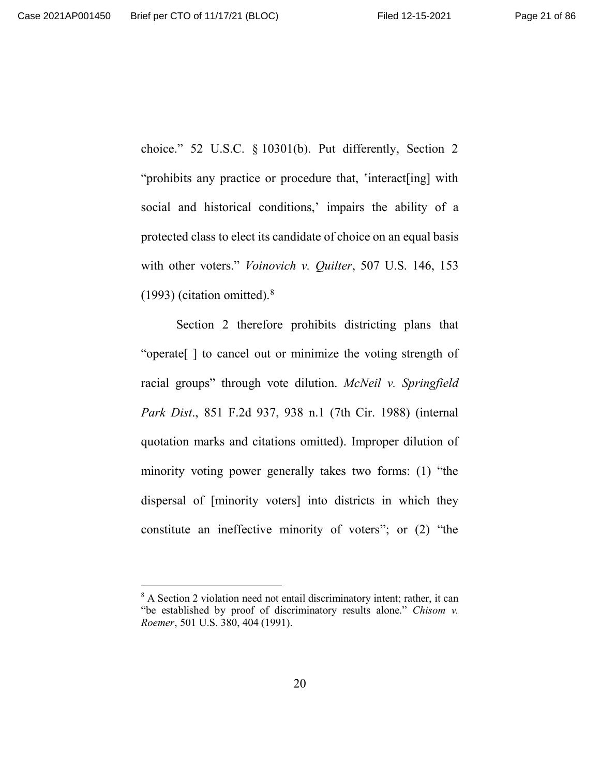choice." 52 U.S.C. § 10301(b). Put differently, Section 2 "prohibits any practice or procedure that, 'interact[ing] with social and historical conditions,' impairs the ability of a protected class to elect its candidate of choice on an equal basis with other voters." *Voinovich v. Quilter*, 507 U.S. 146, 153  $(1993)$  (citation omitted).<sup>8</sup>

Section 2 therefore prohibits districting plans that "operate[ ] to cancel out or minimize the voting strength of racial groups" through vote dilution. *McNeil v. Springfield Park Dist*., 851 F.2d 937, 938 n.1 (7th Cir. 1988) (internal quotation marks and citations omitted). Improper dilution of minority voting power generally takes two forms: (1) "the dispersal of [minority voters] into districts in which they constitute an ineffective minority of voters"; or (2) "the

<sup>&</sup>lt;sup>8</sup> A Section 2 violation need not entail discriminatory intent; rather, it can "be established by proof of discriminatory results alone." *Chisom v. Roemer*, 501 U.S. 380, 404 (1991).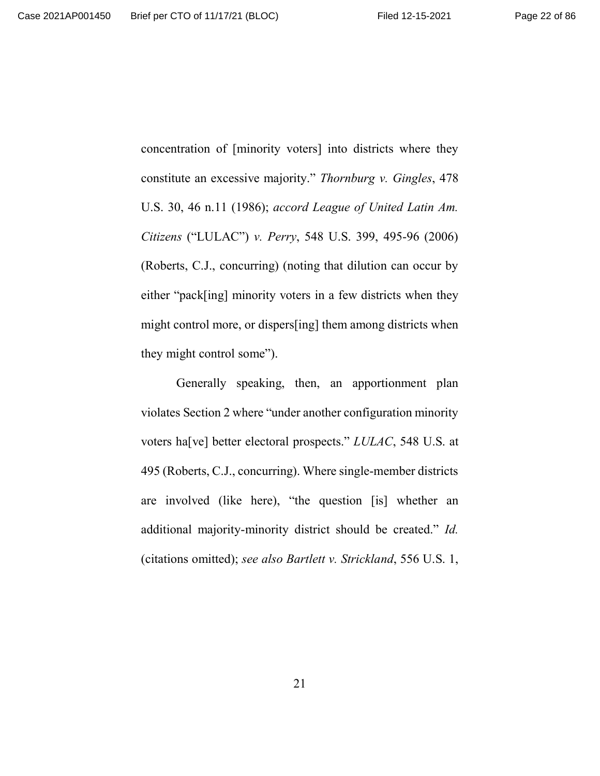concentration of [minority voters] into districts where they constitute an excessive majority." *Thornburg v. Gingles*, 478 U.S. 30, 46 n.11 (1986); *accord League of United Latin Am. Citizens* ("LULAC") *v. Perry*, 548 U.S. 399, 495-96 (2006) (Roberts, C.J., concurring) (noting that dilution can occur by either "pack[ing] minority voters in a few districts when they might control more, or dispers[ing] them among districts when they might control some").

Generally speaking, then, an apportionment plan violates Section 2 where "under another configuration minority voters ha[ve] better electoral prospects." *LULAC*, 548 U.S. at 495 (Roberts, C.J., concurring). Where single-member districts are involved (like here), "the question [is] whether an additional majority-minority district should be created." *Id.* (citations omitted); *see also Bartlett v. Strickland*, 556 U.S. 1,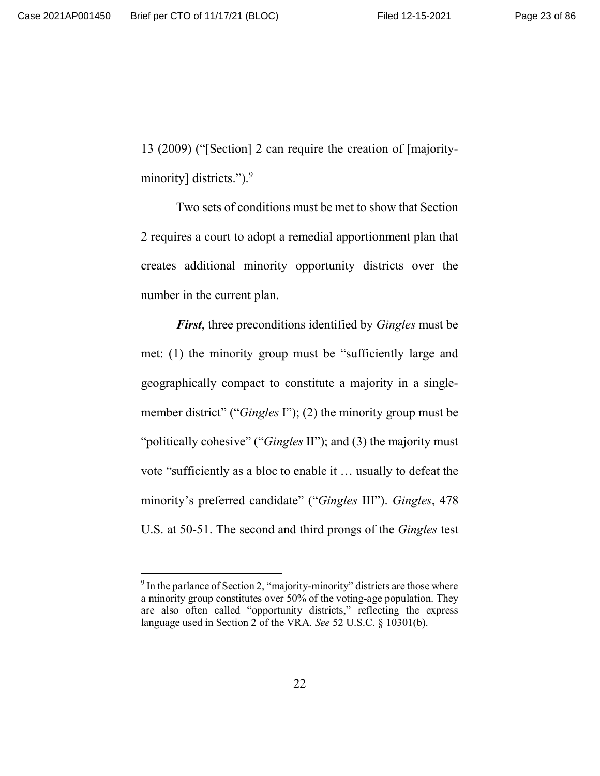13 (2009) ("[Section] 2 can require the creation of [majorityminority] districts.").<sup>9</sup>

Two sets of conditions must be met to show that Section 2 requires a court to adopt a remedial apportionment plan that creates additional minority opportunity districts over the number in the current plan.

*First*, three preconditions identified by *Gingles* must be met: (1) the minority group must be "sufficiently large and geographically compact to constitute a majority in a singlemember district" ("*Gingles* I"); (2) the minority group must be "politically cohesive" ("*Gingles* II"); and (3) the majority must vote "sufficiently as a bloc to enable it … usually to defeat the minority's preferred candidate" ("*Gingles* III"). *Gingles*, 478 U.S. at 50-51. The second and third prongs of the *Gingles* test

 $9^9$  In the parlance of Section 2, "majority-minority" districts are those where a minority group constitutes over 50% of the voting-age population. They are also often called "opportunity districts," reflecting the express language used in Section 2 of the VRA. *See* 52 U.S.C. § 10301(b).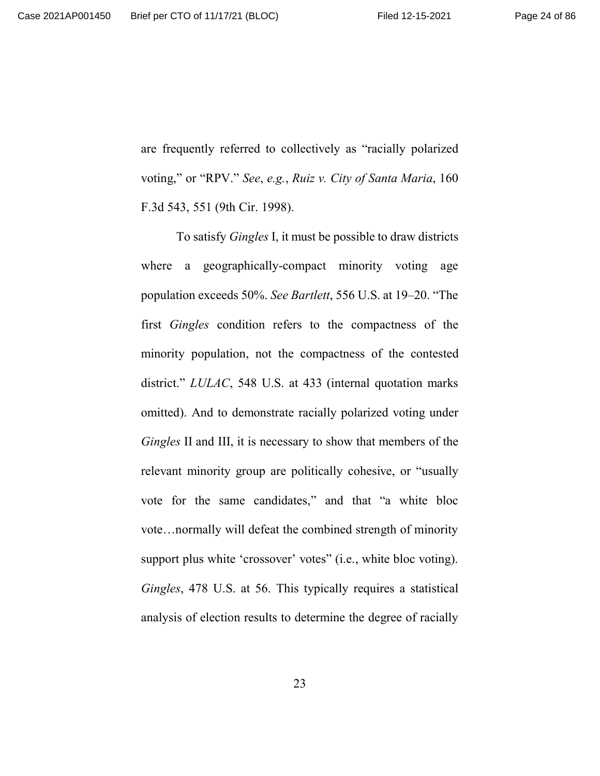are frequently referred to collectively as "racially polarized voting," or "RPV." *See*, *e.g.*, *Ruiz v. City of Santa Maria*, 160 F.3d 543, 551 (9th Cir. 1998).

To satisfy *Gingles* I, it must be possible to draw districts where a geographically-compact minority voting age population exceeds 50%. *See Bartlett*, 556 U.S. at 19–20. "The first *Gingles* condition refers to the compactness of the minority population, not the compactness of the contested district." *LULAC*, 548 U.S. at 433 (internal quotation marks omitted). And to demonstrate racially polarized voting under *Gingles* II and III, it is necessary to show that members of the relevant minority group are politically cohesive, or "usually vote for the same candidates," and that "a white bloc vote…normally will defeat the combined strength of minority support plus white 'crossover' votes" (i.e., white bloc voting). *Gingles*, 478 U.S. at 56. This typically requires a statistical analysis of election results to determine the degree of racially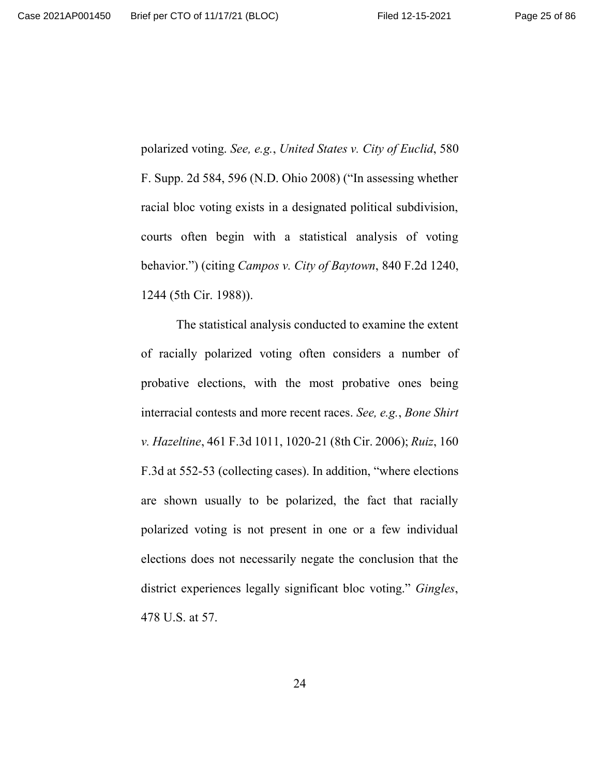polarized voting. *See, e.g.*, *United States v. City of Euclid*, 580 F. Supp. 2d 584, 596 (N.D. Ohio 2008) ("In assessing whether racial bloc voting exists in a designated political subdivision, courts often begin with a statistical analysis of voting behavior.") (citing *Campos v. City of Baytown*, 840 F.2d 1240, 1244 (5th Cir. 1988)).

The statistical analysis conducted to examine the extent of racially polarized voting often considers a number of probative elections, with the most probative ones being interracial contests and more recent races. *See, e.g.*, *Bone Shirt v. Hazeltine*, 461 F.3d 1011, 1020-21 (8th Cir. 2006); *Ruiz*, 160 F.3d at 552-53 (collecting cases). In addition, "where elections are shown usually to be polarized, the fact that racially polarized voting is not present in one or a few individual elections does not necessarily negate the conclusion that the district experiences legally significant bloc voting." *Gingles*, 478 U.S. at 57.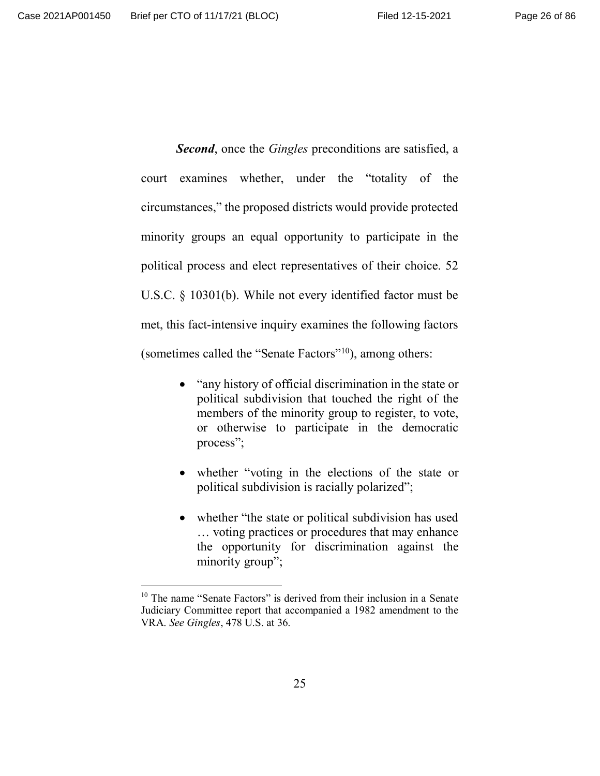*Second*, once the *Gingles* preconditions are satisfied, a court examines whether, under the "totality of the circumstances," the proposed districts would provide protected minority groups an equal opportunity to participate in the political process and elect representatives of their choice. 52 U.S.C. § 10301(b). While not every identified factor must be met, this fact-intensive inquiry examines the following factors (sometimes called the "Senate Factors"<sup>10</sup>), among others:

- "any history of official discrimination in the state or political subdivision that touched the right of the members of the minority group to register, to vote, or otherwise to participate in the democratic process";
- whether "voting in the elections of the state or political subdivision is racially polarized";
- whether "the state or political subdivision has used … voting practices or procedures that may enhance the opportunity for discrimination against the minority group";

<sup>&</sup>lt;sup>10</sup> The name "Senate Factors" is derived from their inclusion in a Senate Judiciary Committee report that accompanied a 1982 amendment to the VRA. *See Gingles*, 478 U.S. at 36.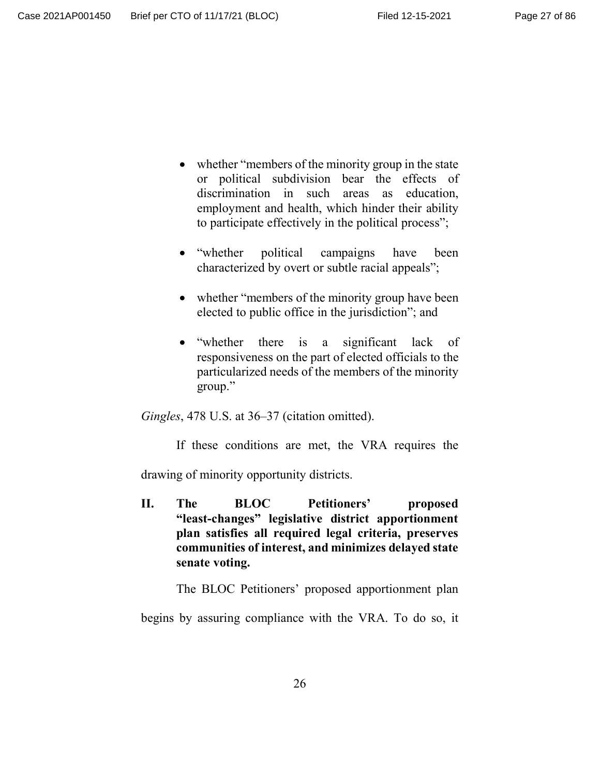- whether "members of the minority group in the state or political subdivision bear the effects of discrimination in such areas as education, employment and health, which hinder their ability to participate effectively in the political process";
- "whether political campaigns have been characterized by overt or subtle racial appeals";
- whether "members of the minority group have been elected to public office in the jurisdiction"; and
- "whether there is a significant lack of responsiveness on the part of elected officials to the particularized needs of the members of the minority group."

*Gingles*, 478 U.S. at 36–37 (citation omitted).

If these conditions are met, the VRA requires the

drawing of minority opportunity districts.

**II. The BLOC Petitioners' proposed "least-changes" legislative district apportionment plan satisfies all required legal criteria, preserves communities of interest, and minimizes delayed state senate voting.**

The BLOC Petitioners' proposed apportionment plan

begins by assuring compliance with the VRA. To do so, it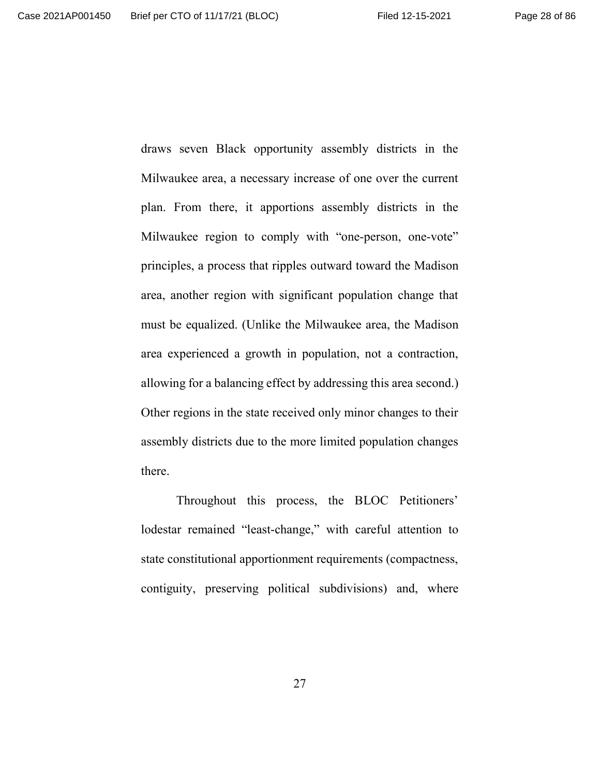draws seven Black opportunity assembly districts in the Milwaukee area, a necessary increase of one over the current plan. From there, it apportions assembly districts in the Milwaukee region to comply with "one-person, one-vote" principles, a process that ripples outward toward the Madison area, another region with significant population change that must be equalized. (Unlike the Milwaukee area, the Madison area experienced a growth in population, not a contraction, allowing for a balancing effect by addressing this area second.) Other regions in the state received only minor changes to their assembly districts due to the more limited population changes there.

Throughout this process, the BLOC Petitioners' lodestar remained "least-change," with careful attention to state constitutional apportionment requirements (compactness, contiguity, preserving political subdivisions) and, where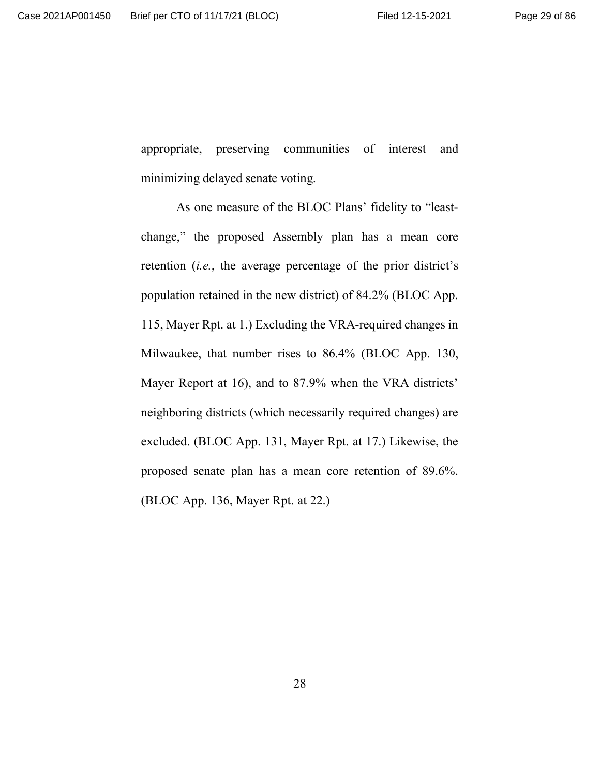appropriate, preserving communities of interest and minimizing delayed senate voting.

As one measure of the BLOC Plans' fidelity to "leastchange," the proposed Assembly plan has a mean core retention (*i.e.*, the average percentage of the prior district's population retained in the new district) of 84.2% (BLOC App. 115, Mayer Rpt. at 1.) Excluding the VRA-required changes in Milwaukee, that number rises to 86.4% (BLOC App. 130, Mayer Report at 16), and to 87.9% when the VRA districts' neighboring districts (which necessarily required changes) are excluded. (BLOC App. 131, Mayer Rpt. at 17.) Likewise, the proposed senate plan has a mean core retention of 89.6%. (BLOC App. 136, Mayer Rpt. at 22.)

28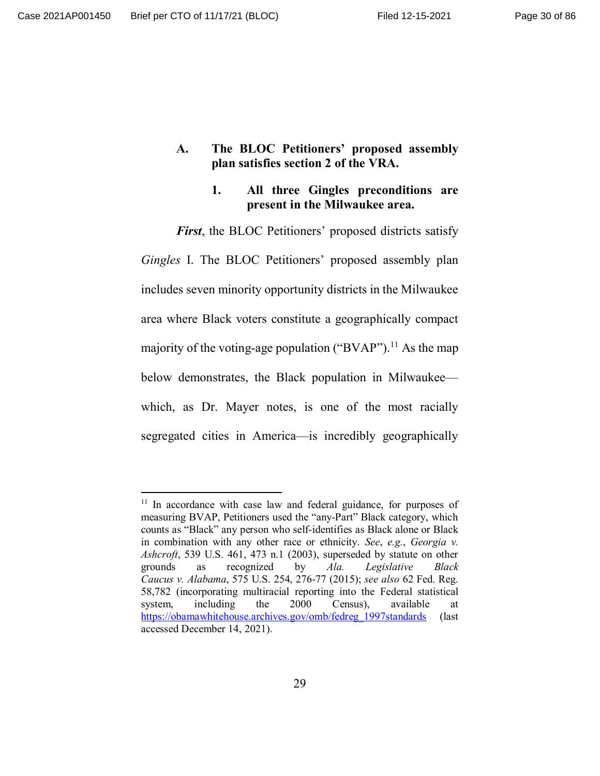## **A. The BLOC Petitioners' proposed assembly plan satisfies section 2 of the VRA.**

## **1. All three Gingles preconditions are present in the Milwaukee area.**

*First*, the BLOC Petitioners' proposed districts satisfy *Gingles* I. The BLOC Petitioners' proposed assembly plan includes seven minority opportunity districts in the Milwaukee area where Black voters constitute a geographically compact majority of the voting-age population ("BVAP").<sup>11</sup> As the map below demonstrates, the Black population in Milwaukee which, as Dr. Mayer notes, is one of the most racially segregated cities in America—is incredibly geographically

<sup>&</sup>lt;sup>11</sup> In accordance with case law and federal guidance, for purposes of measuring BVAP, Petitioners used the "any-Part" Black category, which counts as "Black" any person who self-identifies as Black alone or Black in combination with any other race or ethnicity. *See*, *e.g.*, *Georgia v. Ashcroft*, 539 U.S. 461, 473 n.1 (2003), superseded by statute on other grounds as recognized by *Ala. Legislative Black Caucus v. Alabama*, 575 U.S. 254, 276-77 (2015); *see also* 62 Fed. Reg. 58,782 (incorporating multiracial reporting into the Federal statistical system, including the 2000 Census), available at https://obamawhitehouse.archives.gov/omb/fedreg\_1997standards (last accessed December 14, 2021).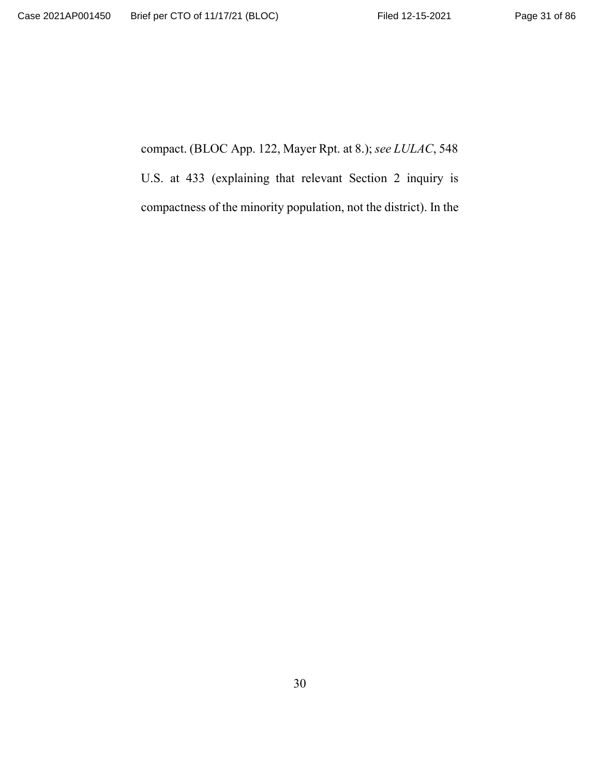compact. (BLOC App. 122, Mayer Rpt. at 8.); *see LULAC*, 548 U.S. at 433 (explaining that relevant Section 2 inquiry is compactness of the minority population, not the district). In the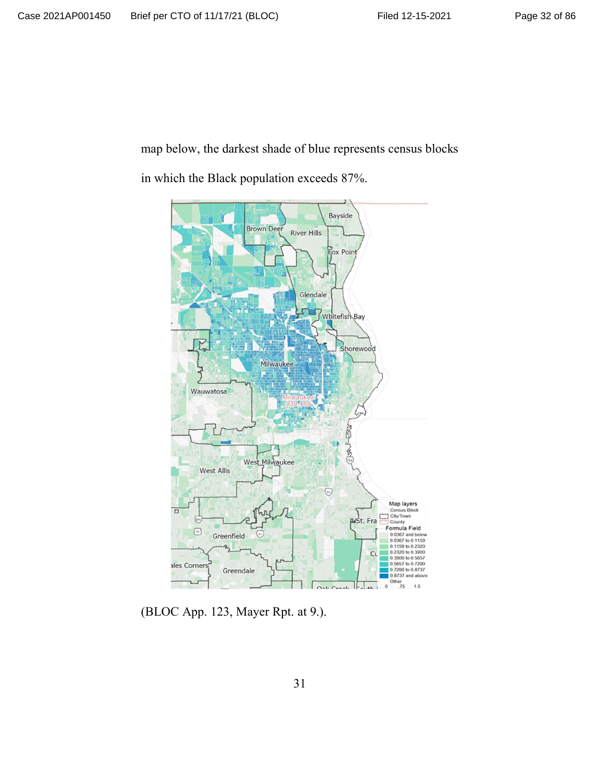map below, the darkest shade of blue represents census blocks

in which the Black population exceeds 87%.



(BLOC App. 123, Mayer Rpt. at 9.).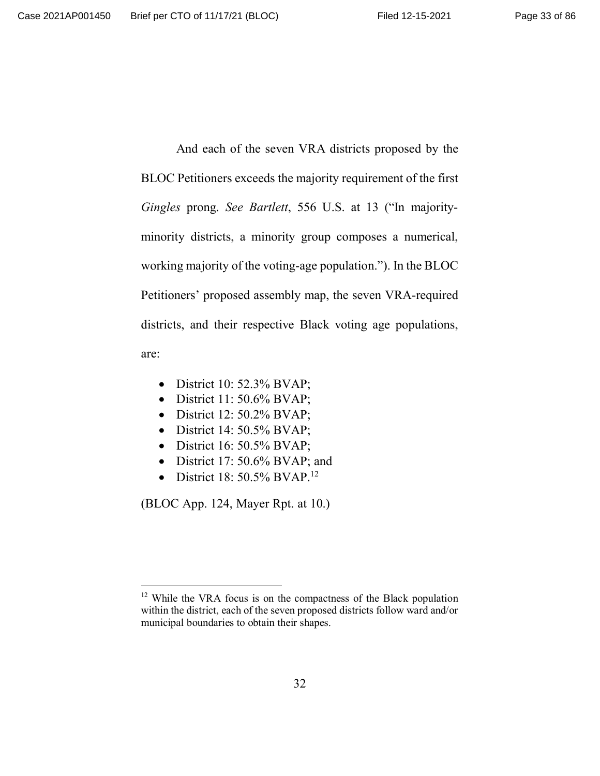And each of the seven VRA districts proposed by the BLOC Petitioners exceeds the majority requirement of the first *Gingles* prong. *See Bartlett*, 556 U.S. at 13 ("In majorityminority districts, a minority group composes a numerical, working majority of the voting-age population."). In the BLOC Petitioners' proposed assembly map, the seven VRA-required districts, and their respective Black voting age populations, are:

- 
- $\bullet$  District 10: 52.3% BVAP;
- $\bullet$  District 11: 50.6% BVAP;
- $\bullet$  District 12: 50.2% BVAP;
- $\bullet$  District 14: 50.5% BVAP;
- $\bullet$  District 16: 50.5% BVAP;
- District 17:  $50.6\%$  BVAP; and
- District 18:  $50.5\%$  BVAP.<sup>12</sup>

(BLOC App. 124, Mayer Rpt. at 10.)

<sup>&</sup>lt;sup>12</sup> While the VRA focus is on the compactness of the Black population within the district, each of the seven proposed districts follow ward and/or municipal boundaries to obtain their shapes.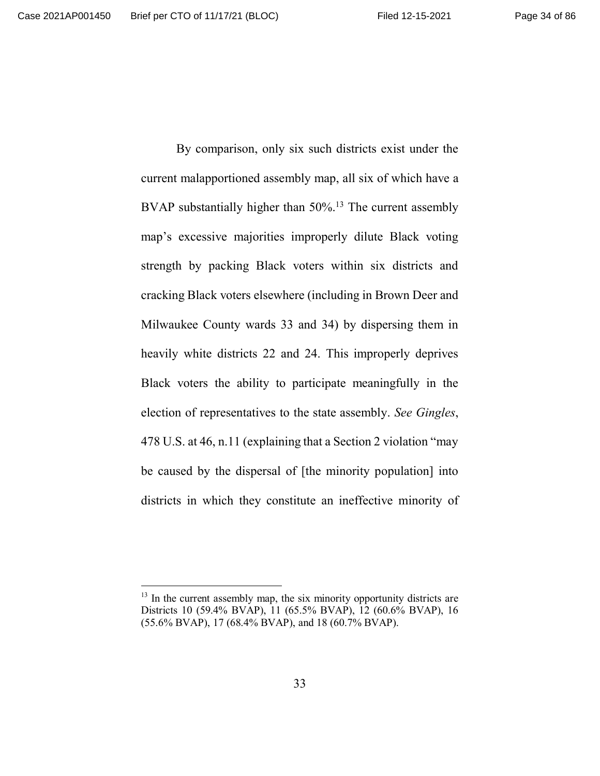By comparison, only six such districts exist under the current malapportioned assembly map, all six of which have a BVAP substantially higher than 50%.<sup>13</sup> The current assembly map's excessive majorities improperly dilute Black voting strength by packing Black voters within six districts and cracking Black voters elsewhere (including in Brown Deer and Milwaukee County wards 33 and 34) by dispersing them in heavily white districts 22 and 24. This improperly deprives Black voters the ability to participate meaningfully in the election of representatives to the state assembly. *See Gingles*, 478 U.S. at 46, n.11 (explaining that a Section 2 violation "may be caused by the dispersal of [the minority population] into districts in which they constitute an ineffective minority of

 $13$  In the current assembly map, the six minority opportunity districts are Districts 10 (59.4% BVAP), 11 (65.5% BVAP), 12 (60.6% BVAP), 16 (55.6% BVAP), 17 (68.4% BVAP), and 18 (60.7% BVAP).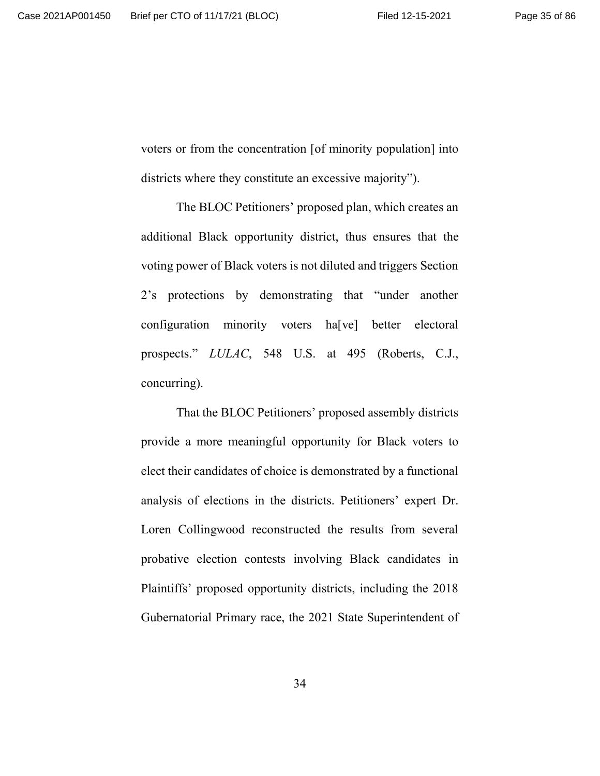voters or from the concentration [of minority population] into districts where they constitute an excessive majority").

The BLOC Petitioners' proposed plan, which creates an additional Black opportunity district, thus ensures that the voting power of Black voters is not diluted and triggers Section 2's protections by demonstrating that "under another configuration minority voters ha[ve] better electoral prospects." *LULAC*, 548 U.S. at 495 (Roberts, C.J., concurring).

That the BLOC Petitioners' proposed assembly districts provide a more meaningful opportunity for Black voters to elect their candidates of choice is demonstrated by a functional analysis of elections in the districts. Petitioners' expert Dr. Loren Collingwood reconstructed the results from several probative election contests involving Black candidates in Plaintiffs' proposed opportunity districts, including the 2018 Gubernatorial Primary race, the 2021 State Superintendent of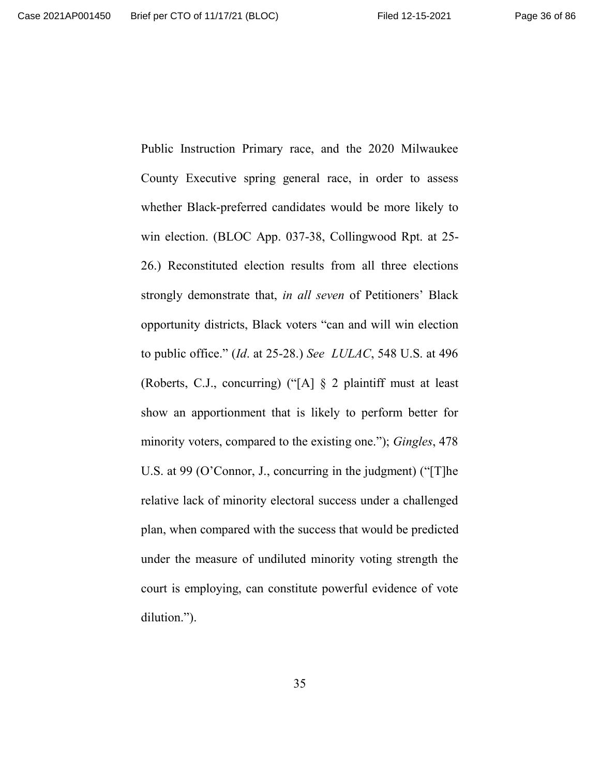Public Instruction Primary race, and the 2020 Milwaukee County Executive spring general race, in order to assess whether Black-preferred candidates would be more likely to win election. (BLOC App. 037-38, Collingwood Rpt. at 25- 26.) Reconstituted election results from all three elections strongly demonstrate that, *in all seven* of Petitioners' Black opportunity districts, Black voters "can and will win election to public office." (*Id*. at 25-28.) *See LULAC*, 548 U.S. at 496 (Roberts, C.J., concurring) ("[A] § 2 plaintiff must at least show an apportionment that is likely to perform better for minority voters, compared to the existing one."); *Gingles*, 478 U.S. at 99 (O'Connor, J., concurring in the judgment) ("[T]he relative lack of minority electoral success under a challenged plan, when compared with the success that would be predicted under the measure of undiluted minority voting strength the court is employing, can constitute powerful evidence of vote dilution.").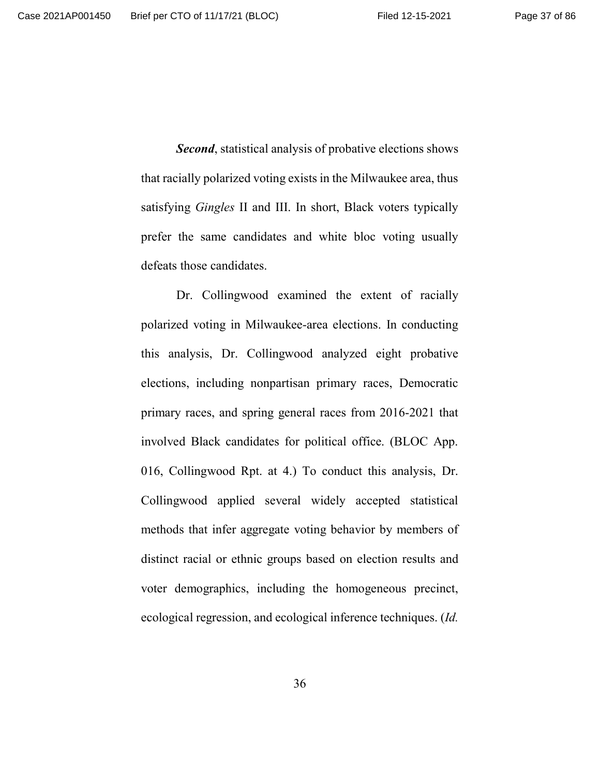*Second*, statistical analysis of probative elections shows that racially polarized voting exists in the Milwaukee area, thus satisfying *Gingles* II and III. In short, Black voters typically prefer the same candidates and white bloc voting usually defeats those candidates.

Dr. Collingwood examined the extent of racially polarized voting in Milwaukee-area elections. In conducting this analysis, Dr. Collingwood analyzed eight probative elections, including nonpartisan primary races, Democratic primary races, and spring general races from 2016-2021 that involved Black candidates for political office. (BLOC App. 016, Collingwood Rpt. at 4.) To conduct this analysis, Dr. Collingwood applied several widely accepted statistical methods that infer aggregate voting behavior by members of distinct racial or ethnic groups based on election results and voter demographics, including the homogeneous precinct, ecological regression, and ecological inference techniques. (*Id.*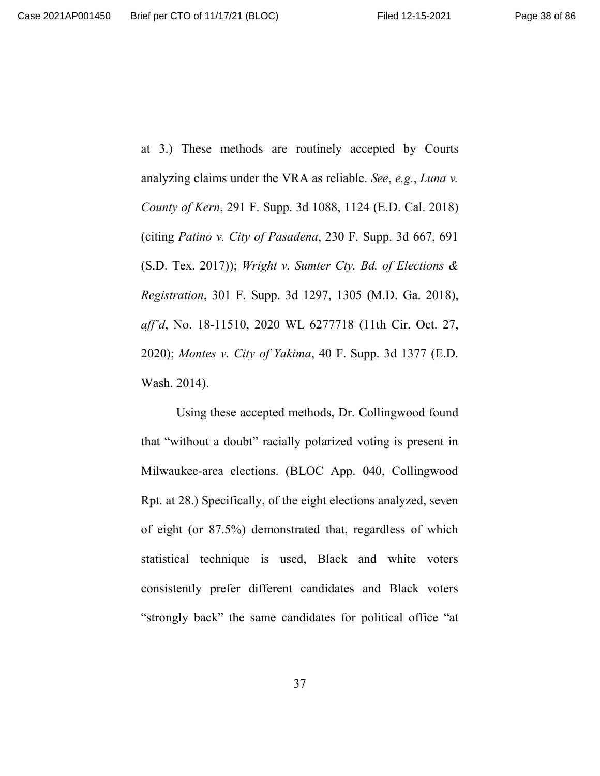at 3.) These methods are routinely accepted by Courts analyzing claims under the VRA as reliable. *See*, *e.g.*, *Luna v. County of Kern*, 291 F. Supp. 3d 1088, 1124 (E.D. Cal. 2018) (citing *Patino v. City of Pasadena*, 230 F. Supp. 3d 667, 691 (S.D. Tex. 2017)); *Wright v. Sumter Cty. Bd. of Elections & Registration*, 301 F. Supp. 3d 1297, 1305 (M.D. Ga. 2018), *aff'd*, No. 18-11510, 2020 WL 6277718 (11th Cir. Oct. 27, 2020); *Montes v. City of Yakima*, 40 F. Supp. 3d 1377 (E.D. Wash. 2014).

Using these accepted methods, Dr. Collingwood found that "without a doubt" racially polarized voting is present in Milwaukee-area elections. (BLOC App. 040, Collingwood Rpt. at 28.) Specifically, of the eight elections analyzed, seven of eight (or 87.5%) demonstrated that, regardless of which statistical technique is used, Black and white voters consistently prefer different candidates and Black voters "strongly back" the same candidates for political office "at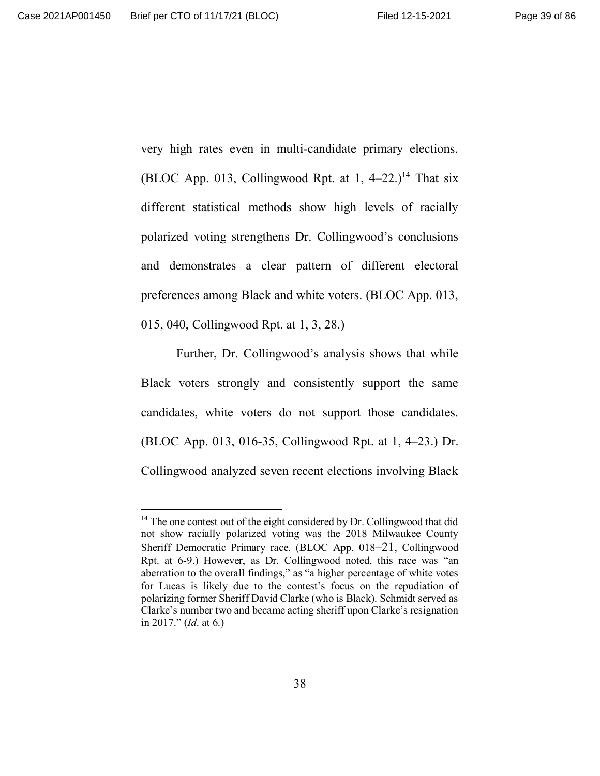very high rates even in multi-candidate primary elections. (BLOC App. 013, Collingwood Rpt. at 1,  $4-22$ .)<sup>14</sup> That six different statistical methods show high levels of racially polarized voting strengthens Dr. Collingwood's conclusions and demonstrates a clear pattern of different electoral preferences among Black and white voters. (BLOC App. 013, 015, 040, Collingwood Rpt. at 1, 3, 28.)

Further, Dr. Collingwood's analysis shows that while Black voters strongly and consistently support the same candidates, white voters do not support those candidates. (BLOC App. 013, 016-35, Collingwood Rpt. at 1, 4–23.) Dr. Collingwood analyzed seven recent elections involving Black

 $14$  The one contest out of the eight considered by Dr. Collingwood that did not show racially polarized voting was the 2018 Milwaukee County Sheriff Democratic Primary race. (BLOC App. 018–21, Collingwood Rpt. at 6-9.) However, as Dr. Collingwood noted, this race was "an aberration to the overall findings," as "a higher percentage of white votes for Lucas is likely due to the contest's focus on the repudiation of polarizing former Sheriff David Clarke (who is Black). Schmidt served as Clarke's number two and became acting sheriff upon Clarke's resignation in 2017." (*Id*. at 6.)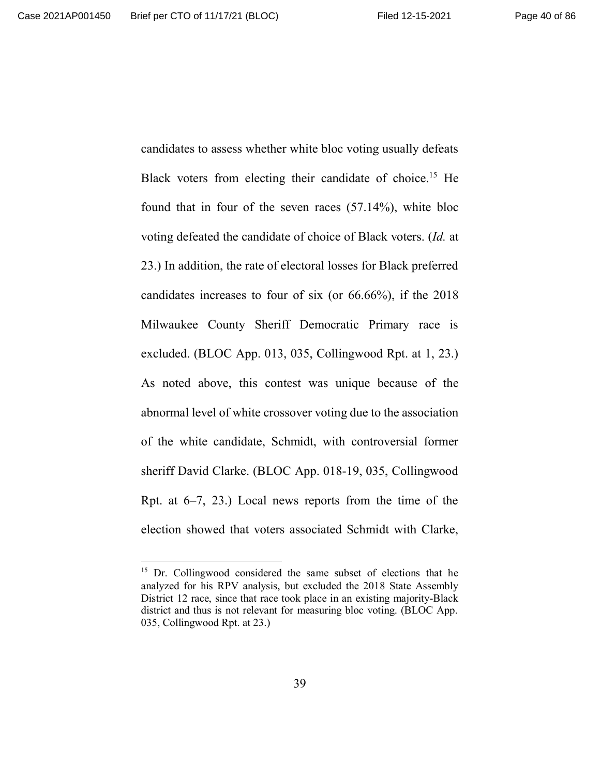candidates to assess whether white bloc voting usually defeats Black voters from electing their candidate of choice.<sup>15</sup> He found that in four of the seven races (57.14%), white bloc voting defeated the candidate of choice of Black voters. (*Id.* at 23.) In addition, the rate of electoral losses for Black preferred candidates increases to four of six (or 66.66%), if the 2018 Milwaukee County Sheriff Democratic Primary race is excluded. (BLOC App. 013, 035, Collingwood Rpt. at 1, 23.) As noted above, this contest was unique because of the abnormal level of white crossover voting due to the association of the white candidate, Schmidt, with controversial former sheriff David Clarke. (BLOC App. 018-19, 035, Collingwood Rpt. at  $6-7$ , 23.) Local news reports from the time of the election showed that voters associated Schmidt with Clarke,

<sup>&</sup>lt;sup>15</sup> Dr. Collingwood considered the same subset of elections that he analyzed for his RPV analysis, but excluded the 2018 State Assembly District 12 race, since that race took place in an existing majority-Black district and thus is not relevant for measuring bloc voting. (BLOC App. 035, Collingwood Rpt. at 23.)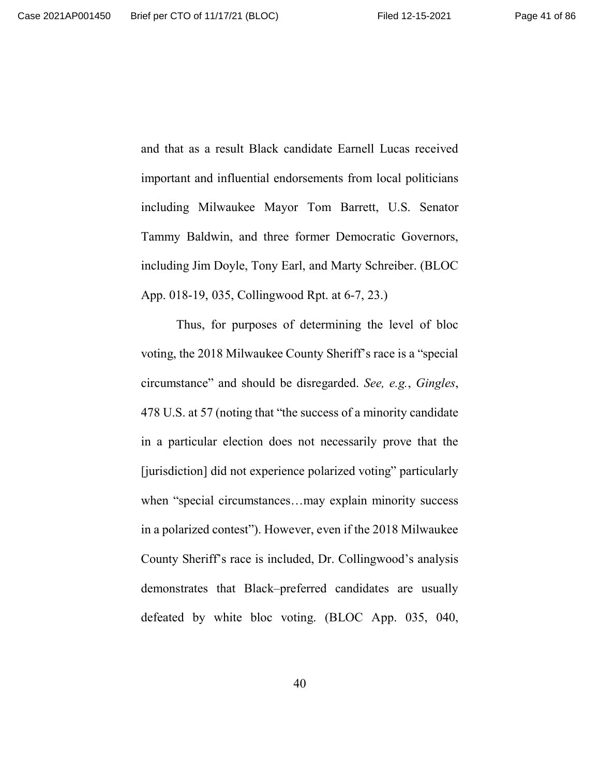and that as a result Black candidate Earnell Lucas received important and influential endorsements from local politicians including Milwaukee Mayor Tom Barrett, U.S. Senator Tammy Baldwin, and three former Democratic Governors, including Jim Doyle, Tony Earl, and Marty Schreiber. (BLOC App. 018-19, 035, Collingwood Rpt. at 6-7, 23.)

Thus, for purposes of determining the level of bloc voting, the 2018 Milwaukee County Sheriff's race is a "special circumstance" and should be disregarded. *See, e.g.*, *Gingles*, 478 U.S. at 57 (noting that "the success of a minority candidate in a particular election does not necessarily prove that the [jurisdiction] did not experience polarized voting" particularly when "special circumstances…may explain minority success in a polarized contest"). However, even if the 2018 Milwaukee County Sheriff's race is included, Dr. Collingwood's analysis demonstrates that Black–preferred candidates are usually defeated by white bloc voting. (BLOC App. 035, 040,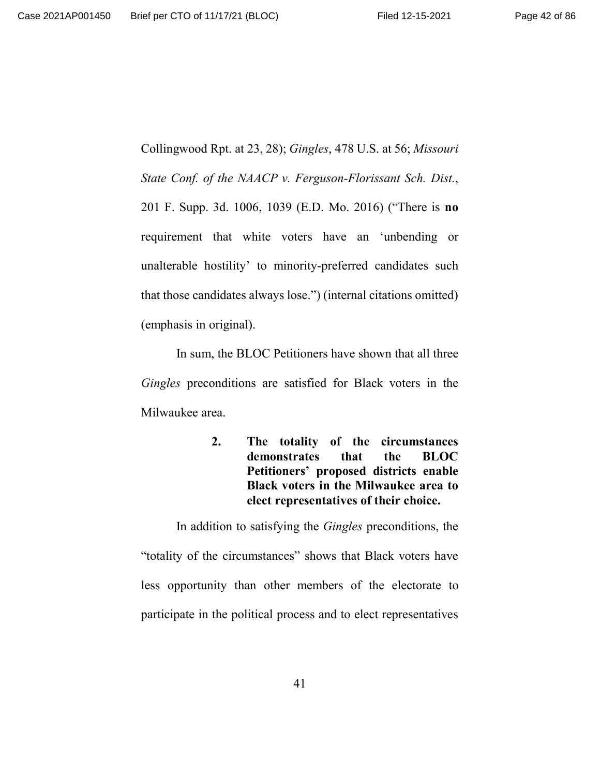Collingwood Rpt. at 23, 28); *Gingles*, 478 U.S. at 56; *Missouri State Conf. of the NAACP v. Ferguson-Florissant Sch. Dist.*, 201 F. Supp. 3d. 1006, 1039 (E.D. Mo. 2016) ("There is **no** requirement that white voters have an 'unbending or unalterable hostility' to minority-preferred candidates such that those candidates always lose.") (internal citations omitted) (emphasis in original).

In sum, the BLOC Petitioners have shown that all three *Gingles* preconditions are satisfied for Black voters in the Milwaukee area.

> **2. The totality of the circumstances demonstrates that the BLOC Petitioners' proposed districts enable Black voters in the Milwaukee area to elect representatives of their choice.**

In addition to satisfying the *Gingles* preconditions, the "totality of the circumstances" shows that Black voters have less opportunity than other members of the electorate to participate in the political process and to elect representatives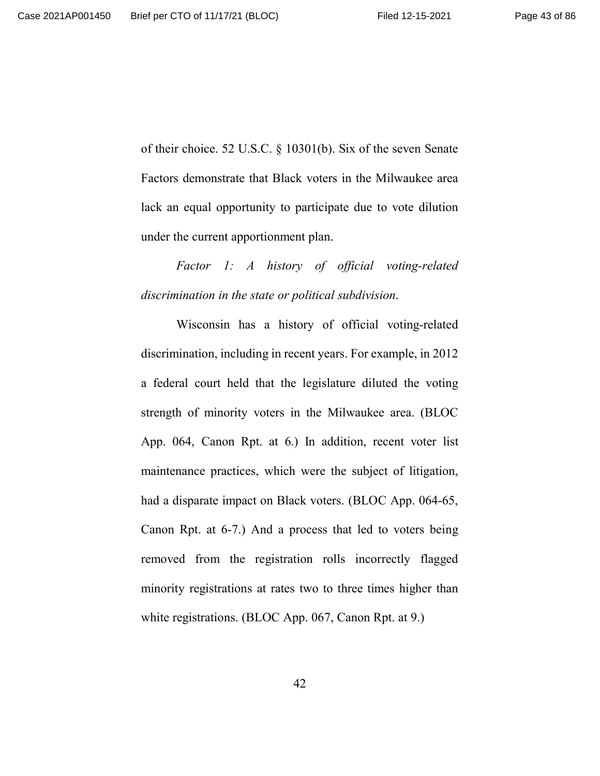of their choice. 52 U.S.C. § 10301(b). Six of the seven Senate Factors demonstrate that Black voters in the Milwaukee area lack an equal opportunity to participate due to vote dilution under the current apportionment plan.

*Factor 1: A history of official voting-related discrimination in the state or political subdivision*.

Wisconsin has a history of official voting-related discrimination, including in recent years. For example, in 2012 a federal court held that the legislature diluted the voting strength of minority voters in the Milwaukee area. (BLOC App. 064, Canon Rpt. at 6.) In addition, recent voter list maintenance practices, which were the subject of litigation, had a disparate impact on Black voters. (BLOC App. 064-65, Canon Rpt. at 6-7.) And a process that led to voters being removed from the registration rolls incorrectly flagged minority registrations at rates two to three times higher than white registrations. (BLOC App. 067, Canon Rpt. at 9.)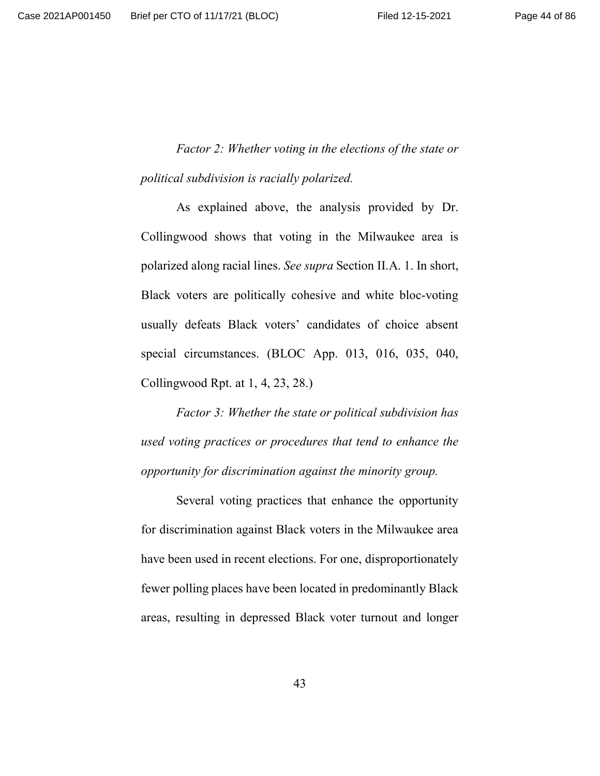*Factor 2: Whether voting in the elections of the state or political subdivision is racially polarized.*

As explained above, the analysis provided by Dr. Collingwood shows that voting in the Milwaukee area is polarized along racial lines. *See supra* Section II.A. 1. In short, Black voters are politically cohesive and white bloc-voting usually defeats Black voters' candidates of choice absent special circumstances. (BLOC App. 013, 016, 035, 040, Collingwood Rpt. at 1, 4, 23, 28.)

*Factor 3: Whether the state or political subdivision has used voting practices or procedures that tend to enhance the opportunity for discrimination against the minority group.*

Several voting practices that enhance the opportunity for discrimination against Black voters in the Milwaukee area have been used in recent elections. For one, disproportionately fewer polling places have been located in predominantly Black areas, resulting in depressed Black voter turnout and longer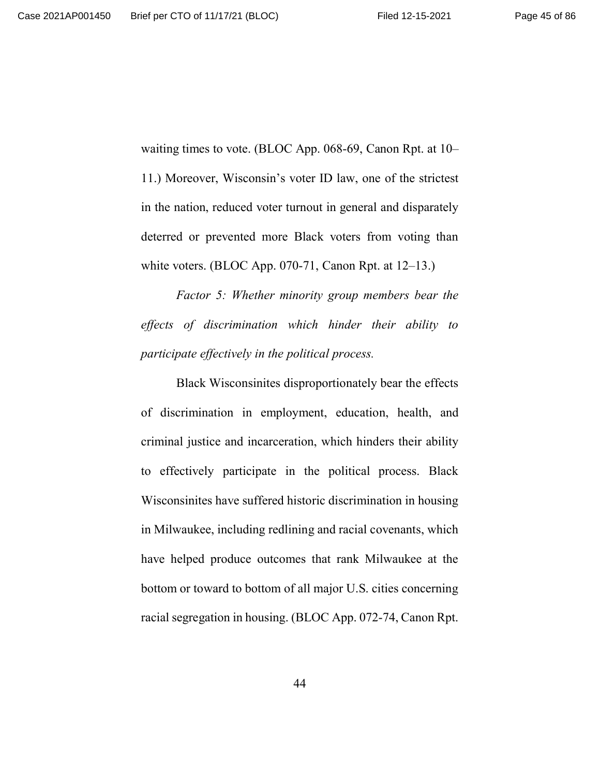waiting times to vote. (BLOC App. 068-69, Canon Rpt. at 10– 11.) Moreover, Wisconsin's voter ID law, one of the strictest in the nation, reduced voter turnout in general and disparately deterred or prevented more Black voters from voting than white voters. (BLOC App. 070-71, Canon Rpt. at 12–13.)

*Factor 5: Whether minority group members bear the effects of discrimination which hinder their ability to participate effectively in the political process.*

Black Wisconsinites disproportionately bear the effects of discrimination in employment, education, health, and criminal justice and incarceration, which hinders their ability to effectively participate in the political process. Black Wisconsinites have suffered historic discrimination in housing in Milwaukee, including redlining and racial covenants, which have helped produce outcomes that rank Milwaukee at the bottom or toward to bottom of all major U.S. cities concerning racial segregation in housing. (BLOC App. 072-74, Canon Rpt.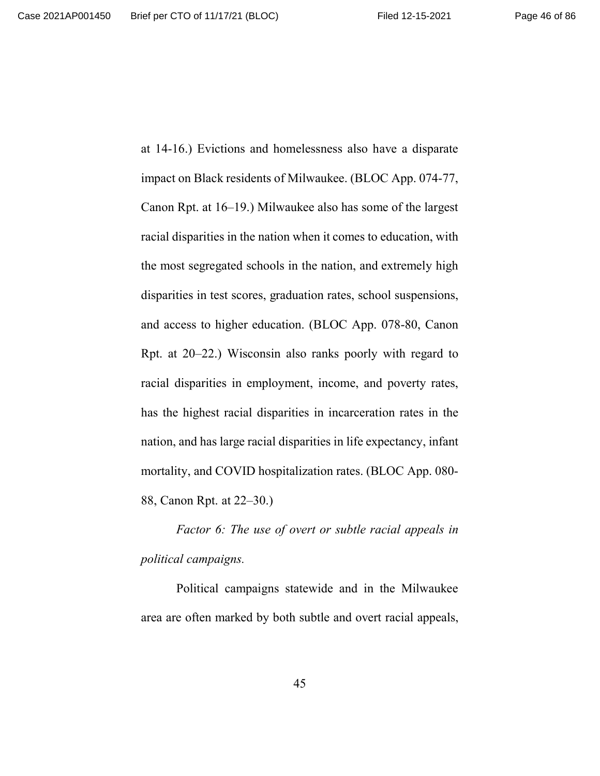at 14-16.) Evictions and homelessness also have a disparate impact on Black residents of Milwaukee. (BLOC App. 074-77, Canon Rpt. at 16–19.) Milwaukee also has some of the largest racial disparities in the nation when it comes to education, with the most segregated schools in the nation, and extremely high disparities in test scores, graduation rates, school suspensions, and access to higher education. (BLOC App. 078-80, Canon Rpt. at 20–22.) Wisconsin also ranks poorly with regard to racial disparities in employment, income, and poverty rates, has the highest racial disparities in incarceration rates in the nation, and has large racial disparities in life expectancy, infant mortality, and COVID hospitalization rates. (BLOC App. 080- 88, Canon Rpt. at 22–30.)

*Factor 6: The use of overt or subtle racial appeals in political campaigns.*

Political campaigns statewide and in the Milwaukee area are often marked by both subtle and overt racial appeals,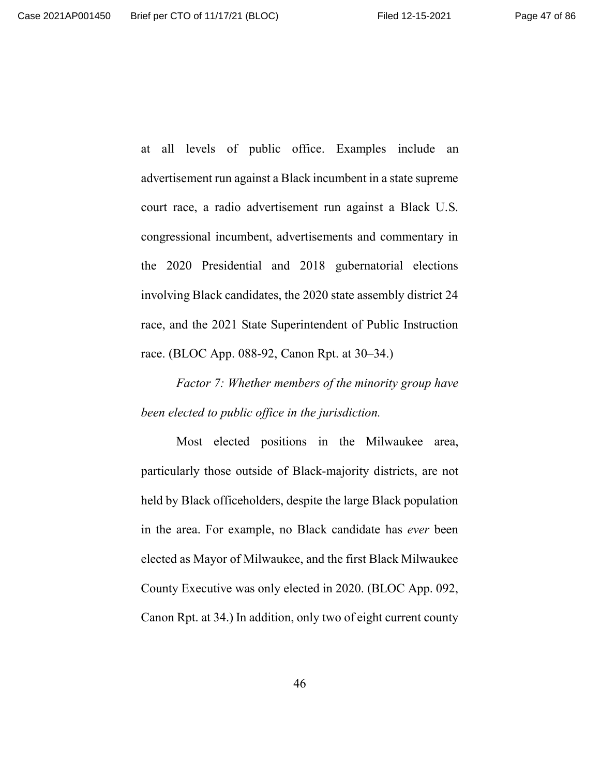at all levels of public office. Examples include an advertisement run against a Black incumbent in a state supreme court race, a radio advertisement run against a Black U.S. congressional incumbent, advertisements and commentary in the 2020 Presidential and 2018 gubernatorial elections involving Black candidates, the 2020 state assembly district 24 race, and the 2021 State Superintendent of Public Instruction race. (BLOC App. 088-92, Canon Rpt. at 30–34.)

*Factor 7: Whether members of the minority group have been elected to public office in the jurisdiction.*

Most elected positions in the Milwaukee area, particularly those outside of Black-majority districts, are not held by Black officeholders, despite the large Black population in the area. For example, no Black candidate has *ever* been elected as Mayor of Milwaukee, and the first Black Milwaukee County Executive was only elected in 2020. (BLOC App. 092, Canon Rpt. at 34.) In addition, only two of eight current county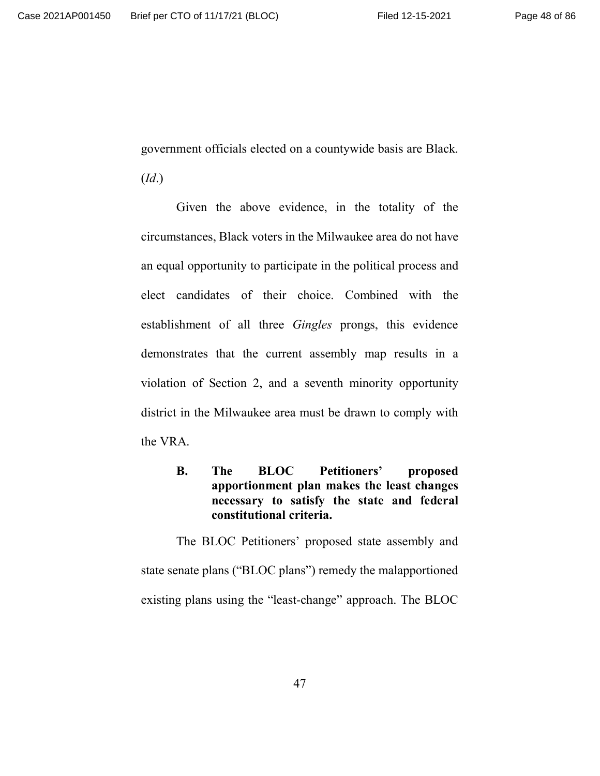government officials elected on a countywide basis are Black.

(*Id*.)

Given the above evidence, in the totality of the circumstances, Black voters in the Milwaukee area do not have an equal opportunity to participate in the political process and elect candidates of their choice. Combined with the establishment of all three *Gingles* prongs, this evidence demonstrates that the current assembly map results in a violation of Section 2, and a seventh minority opportunity district in the Milwaukee area must be drawn to comply with the VRA.

> **B. The BLOC Petitioners' proposed apportionment plan makes the least changes necessary to satisfy the state and federal constitutional criteria.**

The BLOC Petitioners' proposed state assembly and state senate plans ("BLOC plans") remedy the malapportioned existing plans using the "least-change" approach. The BLOC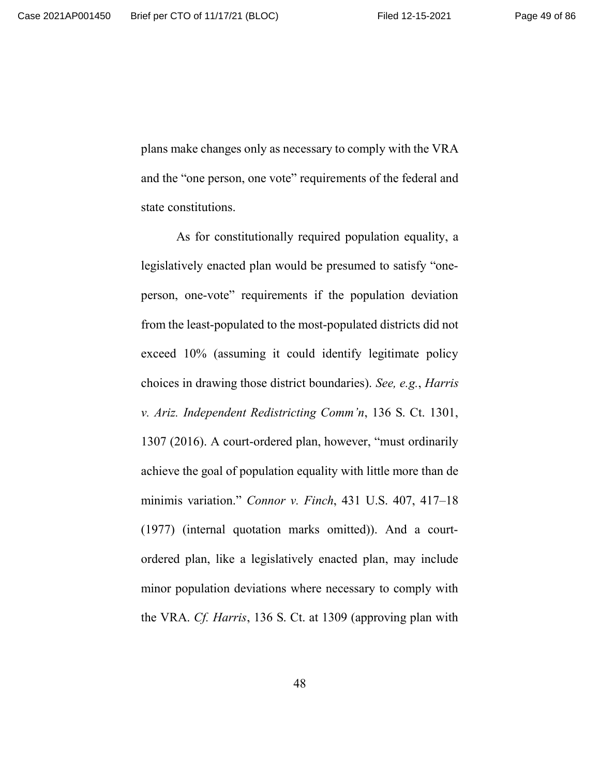plans make changes only as necessary to comply with the VRA and the "one person, one vote" requirements of the federal and state constitutions.

As for constitutionally required population equality, a legislatively enacted plan would be presumed to satisfy "oneperson, one-vote" requirements if the population deviation from the least-populated to the most-populated districts did not exceed 10% (assuming it could identify legitimate policy choices in drawing those district boundaries). *See, e.g.*, *Harris v. Ariz. Independent Redistricting Comm'n*, 136 S. Ct. 1301, 1307 (2016). A court-ordered plan, however, "must ordinarily achieve the goal of population equality with little more than de minimis variation." *Connor v. Finch*, 431 U.S. 407, 417–18 (1977) (internal quotation marks omitted)). And a courtordered plan, like a legislatively enacted plan, may include minor population deviations where necessary to comply with the VRA. *Cf. Harris*, 136 S. Ct. at 1309 (approving plan with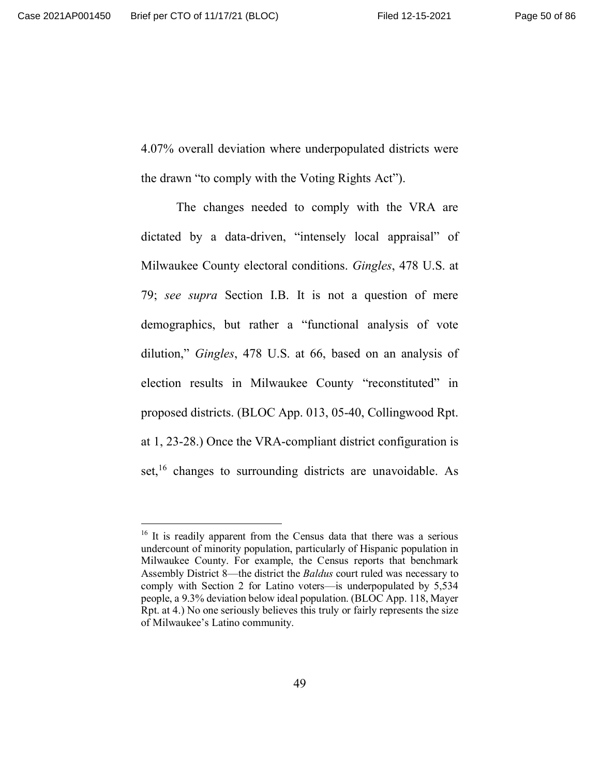4.07% overall deviation where underpopulated districts were the drawn "to comply with the Voting Rights Act").

The changes needed to comply with the VRA are dictated by a data-driven, "intensely local appraisal" of Milwaukee County electoral conditions. *Gingles*, 478 U.S. at 79; *see supra* Section I.B. It is not a question of mere demographics, but rather a "functional analysis of vote dilution," *Gingles*, 478 U.S. at 66, based on an analysis of election results in Milwaukee County "reconstituted" in proposed districts. (BLOC App. 013, 05-40, Collingwood Rpt. at 1, 23-28.) Once the VRA-compliant district configuration is set,<sup>16</sup> changes to surrounding districts are unavoidable. As

<sup>&</sup>lt;sup>16</sup> It is readily apparent from the Census data that there was a serious undercount of minority population, particularly of Hispanic population in Milwaukee County. For example, the Census reports that benchmark Assembly District 8—the district the *Baldus* court ruled was necessary to comply with Section 2 for Latino voters—is underpopulated by 5,534 people, a 9.3% deviation below ideal population. (BLOC App. 118, Mayer Rpt. at 4.) No one seriously believes this truly or fairly represents the size of Milwaukee's Latino community.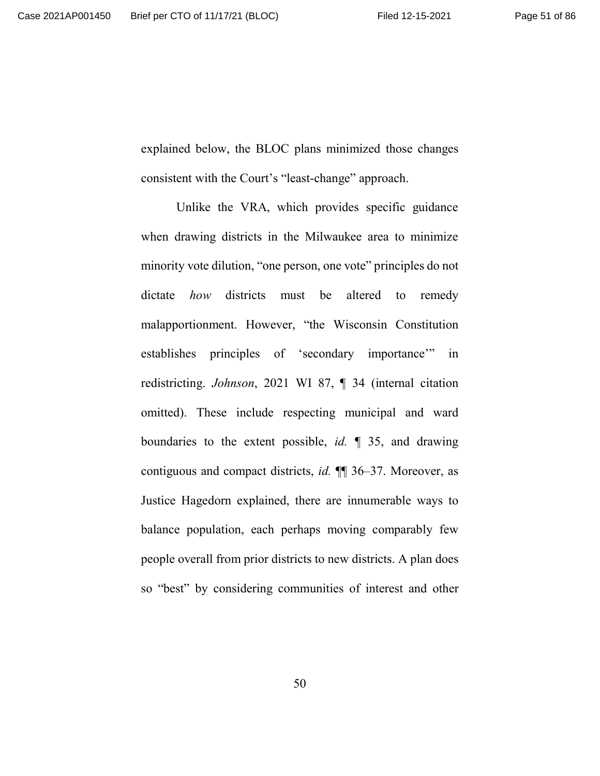explained below, the BLOC plans minimized those changes consistent with the Court's "least-change" approach.

Unlike the VRA, which provides specific guidance when drawing districts in the Milwaukee area to minimize minority vote dilution, "one person, one vote" principles do not dictate *how* districts must be altered to remedy malapportionment. However, "the Wisconsin Constitution establishes principles of 'secondary importance'" in redistricting. *Johnson*, 2021 WI 87, ¶ 34 (internal citation omitted). These include respecting municipal and ward boundaries to the extent possible, *id.* ¶ 35, and drawing contiguous and compact districts, *id.* ¶¶ 36–37. Moreover, as Justice Hagedorn explained, there are innumerable ways to balance population, each perhaps moving comparably few people overall from prior districts to new districts. A plan does so "best" by considering communities of interest and other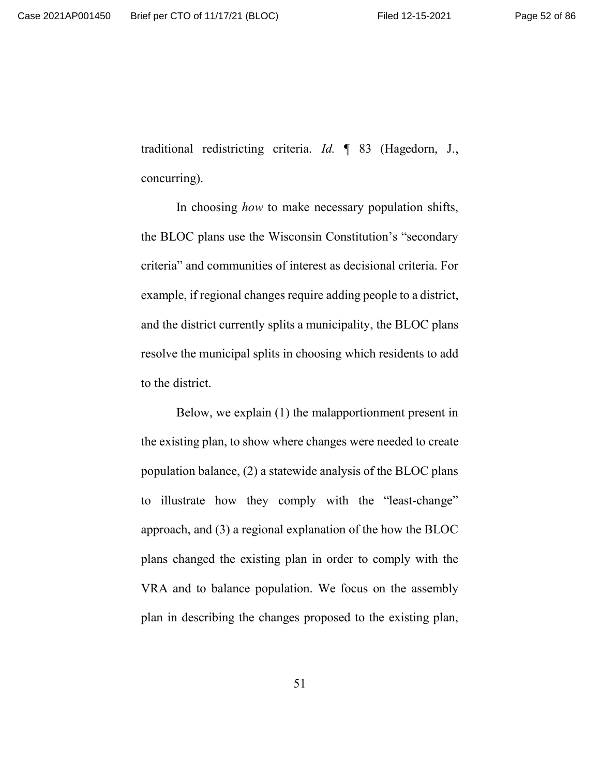traditional redistricting criteria. *Id.* ¶ 83 (Hagedorn, J., concurring).

In choosing *how* to make necessary population shifts, the BLOC plans use the Wisconsin Constitution's "secondary criteria" and communities of interest as decisional criteria. For example, if regional changes require adding people to a district, and the district currently splits a municipality, the BLOC plans resolve the municipal splits in choosing which residents to add to the district.

Below, we explain (1) the malapportionment present in the existing plan, to show where changes were needed to create population balance, (2) a statewide analysis of the BLOC plans to illustrate how they comply with the "least-change" approach, and (3) a regional explanation of the how the BLOC plans changed the existing plan in order to comply with the VRA and to balance population. We focus on the assembly plan in describing the changes proposed to the existing plan,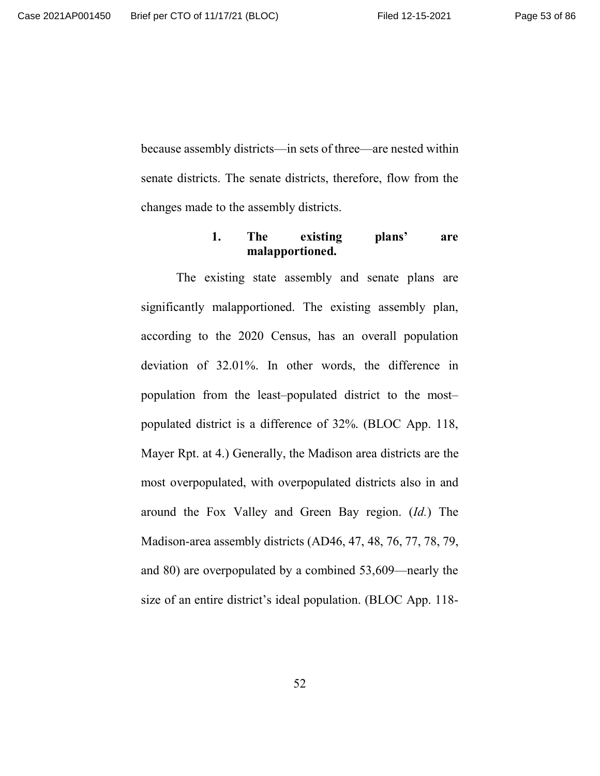because assembly districts—in sets of three—are nested within senate districts. The senate districts, therefore, flow from the changes made to the assembly districts.

# **1. The existing plans' are malapportioned.**

The existing state assembly and senate plans are significantly malapportioned. The existing assembly plan, according to the 2020 Census, has an overall population deviation of 32.01%. In other words, the difference in population from the least–populated district to the most– populated district is a difference of 32%. (BLOC App. 118, Mayer Rpt. at 4.) Generally, the Madison area districts are the most overpopulated, with overpopulated districts also in and around the Fox Valley and Green Bay region. (*Id.*) The Madison-area assembly districts (AD46, 47, 48, 76, 77, 78, 79, and 80) are overpopulated by a combined 53,609—nearly the size of an entire district's ideal population. (BLOC App. 118-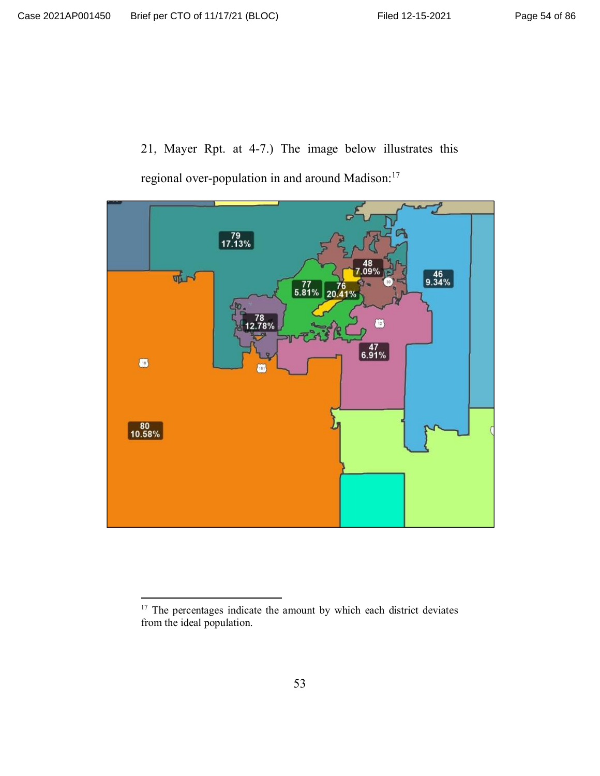21, Mayer Rpt. at 4-7.) The image below illustrates this regional over-population in and around Madison:<sup>17</sup>



<sup>&</sup>lt;sup>17</sup> The percentages indicate the amount by which each district deviates from the ideal population.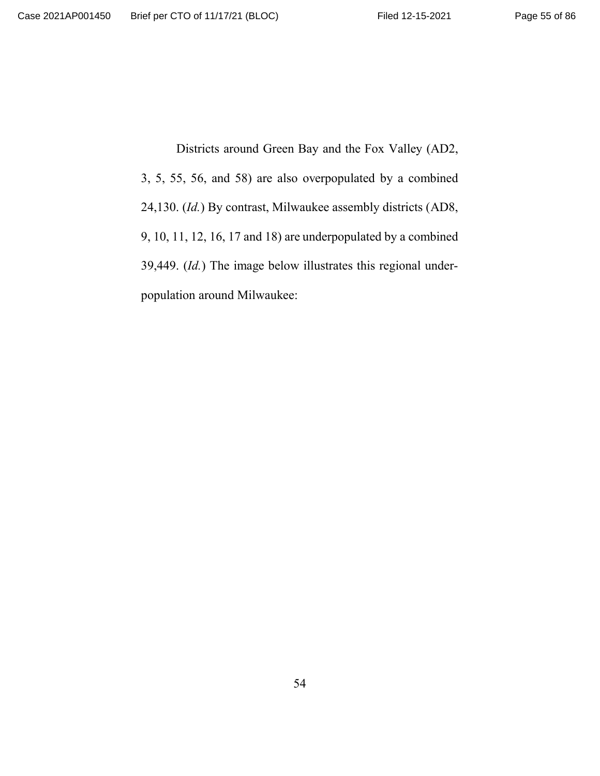Districts around Green Bay and the Fox Valley (AD2, 3, 5, 55, 56, and 58) are also overpopulated by a combined 24,130. (*Id.*) By contrast, Milwaukee assembly districts (AD8, 9, 10, 11, 12, 16, 17 and 18) are underpopulated by a combined 39,449. (*Id.*) The image below illustrates this regional underpopulation around Milwaukee: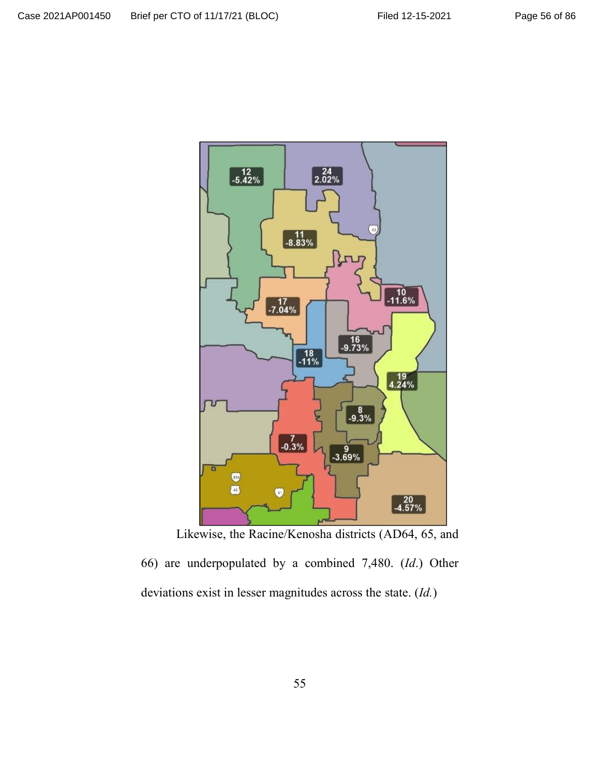



66) are underpopulated by a combined 7,480. (*Id*.) Other deviations exist in lesser magnitudes across the state. (*Id.*)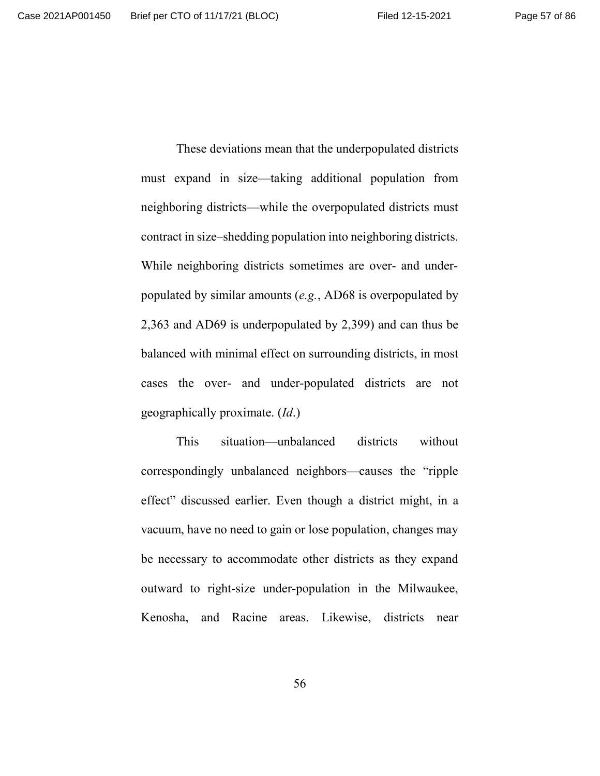These deviations mean that the underpopulated districts must expand in size—taking additional population from neighboring districts—while the overpopulated districts must contract in size–shedding population into neighboring districts. While neighboring districts sometimes are over- and underpopulated by similar amounts (*e.g.*, AD68 is overpopulated by 2,363 and AD69 is underpopulated by 2,399) and can thus be balanced with minimal effect on surrounding districts, in most cases the over- and under-populated districts are not geographically proximate. (*Id*.)

This situation—unbalanced districts without correspondingly unbalanced neighbors—causes the "ripple effect" discussed earlier. Even though a district might, in a vacuum, have no need to gain or lose population, changes may be necessary to accommodate other districts as they expand outward to right-size under-population in the Milwaukee, Kenosha, and Racine areas. Likewise, districts near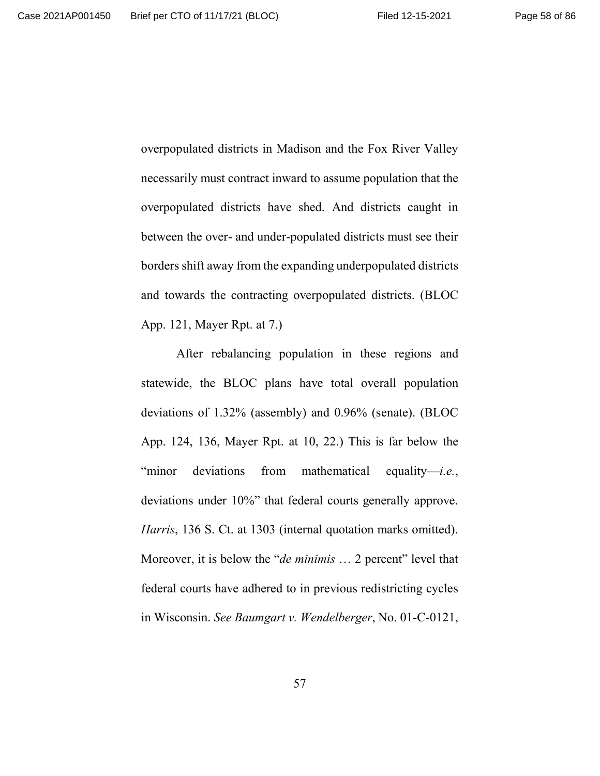overpopulated districts in Madison and the Fox River Valley necessarily must contract inward to assume population that the overpopulated districts have shed. And districts caught in between the over- and under-populated districts must see their borders shift away from the expanding underpopulated districts and towards the contracting overpopulated districts. (BLOC App. 121, Mayer Rpt. at 7.)

After rebalancing population in these regions and statewide, the BLOC plans have total overall population deviations of 1.32% (assembly) and 0.96% (senate). (BLOC App. 124, 136, Mayer Rpt. at 10, 22.) This is far below the "minor deviations from mathematical equality—*i.e.*, deviations under 10%" that federal courts generally approve. *Harris*, 136 S. Ct. at 1303 (internal quotation marks omitted). Moreover, it is below the "*de minimis* … 2 percent" level that federal courts have adhered to in previous redistricting cycles in Wisconsin. *See Baumgart v. Wendelberger*, No. 01-C-0121,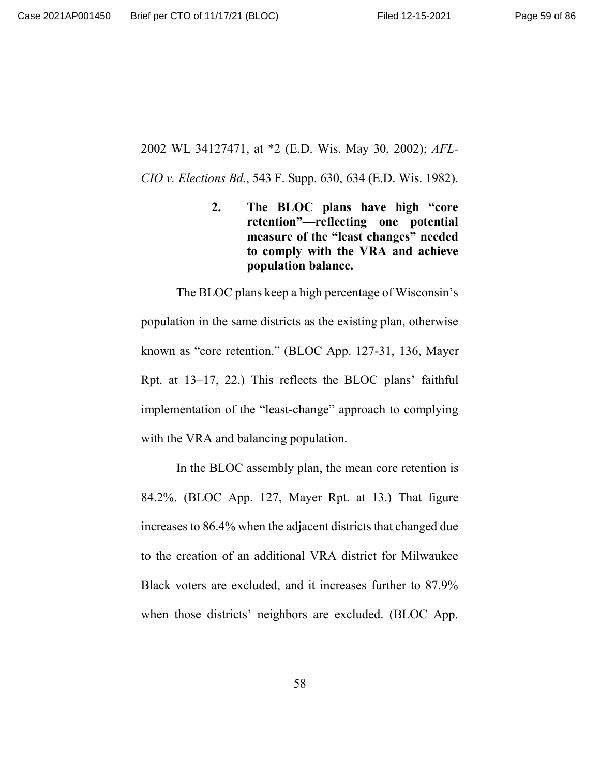### 2002 WL 34127471, at \*2 (E.D. Wis. May 30, 2002); *AFL-*

*CIO v. Elections Bd.*, 543 F. Supp. 630, 634 (E.D. Wis. 1982).

**2. The BLOC plans have high "core retention"—reflecting one potential measure of the "least changes" needed to comply with the VRA and achieve population balance.**

The BLOC plans keep a high percentage of Wisconsin's population in the same districts as the existing plan, otherwise known as "core retention." (BLOC App. 127-31, 136, Mayer Rpt. at 13–17, 22.) This reflects the BLOC plans' faithful implementation of the "least-change" approach to complying with the VRA and balancing population.

In the BLOC assembly plan, the mean core retention is 84.2%. (BLOC App. 127, Mayer Rpt. at 13.) That figure increases to 86.4% when the adjacent districts that changed due to the creation of an additional VRA district for Milwaukee Black voters are excluded, and it increases further to 87.9% when those districts' neighbors are excluded. (BLOC App.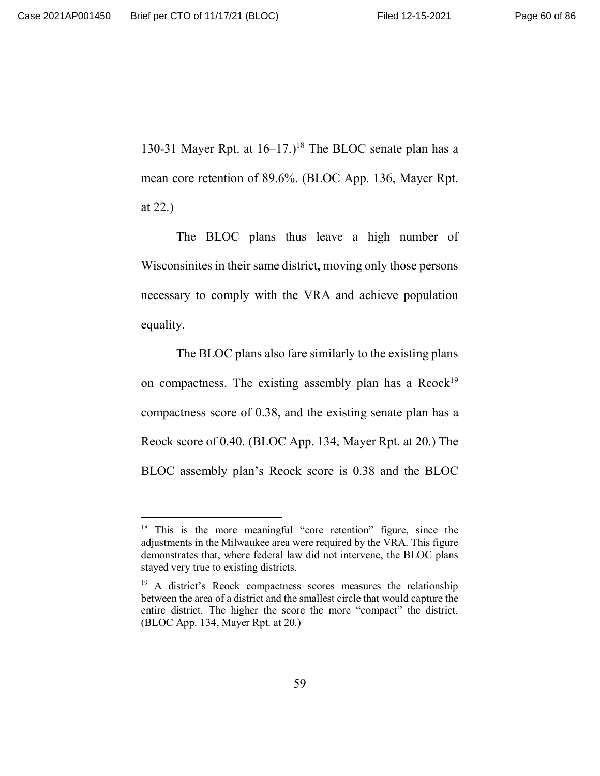130-31 Mayer Rpt. at  $16-17$ .)<sup>18</sup> The BLOC senate plan has a mean core retention of 89.6%. (BLOC App. 136, Mayer Rpt. at 22.)

The BLOC plans thus leave a high number of Wisconsinites in their same district, moving only those persons necessary to comply with the VRA and achieve population equality.

The BLOC plans also fare similarly to the existing plans on compactness. The existing assembly plan has a  $Reock<sup>19</sup>$ compactness score of 0.38, and the existing senate plan has a Reock score of 0.40. (BLOC App. 134, Mayer Rpt. at 20.) The BLOC assembly plan's Reock score is 0.38 and the BLOC

 $18$  This is the more meaningful "core retention" figure, since the adjustments in the Milwaukee area were required by the VRA. This figure demonstrates that, where federal law did not intervene, the BLOC plans stayed very true to existing districts.

<sup>&</sup>lt;sup>19</sup> A district's Reock compactness scores measures the relationship between the area of a district and the smallest circle that would capture the entire district. The higher the score the more "compact" the district. (BLOC App. 134, Mayer Rpt. at 20.)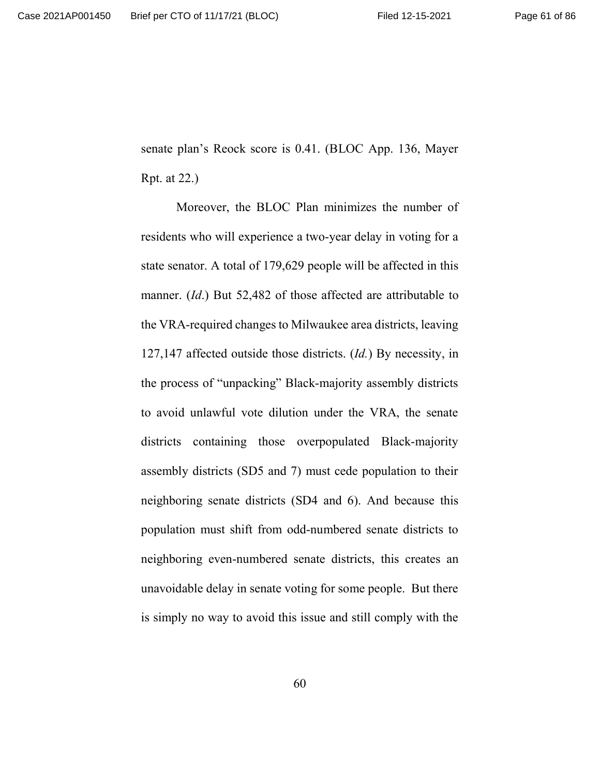senate plan's Reock score is 0.41. (BLOC App. 136, Mayer Rpt. at 22.)

Moreover, the BLOC Plan minimizes the number of residents who will experience a two-year delay in voting for a state senator. A total of 179,629 people will be affected in this manner. (*Id*.) But 52,482 of those affected are attributable to the VRA-required changes to Milwaukee area districts, leaving 127,147 affected outside those districts. (*Id.*) By necessity, in the process of "unpacking" Black-majority assembly districts to avoid unlawful vote dilution under the VRA, the senate districts containing those overpopulated Black-majority assembly districts (SD5 and 7) must cede population to their neighboring senate districts (SD4 and 6). And because this population must shift from odd-numbered senate districts to neighboring even-numbered senate districts, this creates an unavoidable delay in senate voting for some people. But there is simply no way to avoid this issue and still comply with the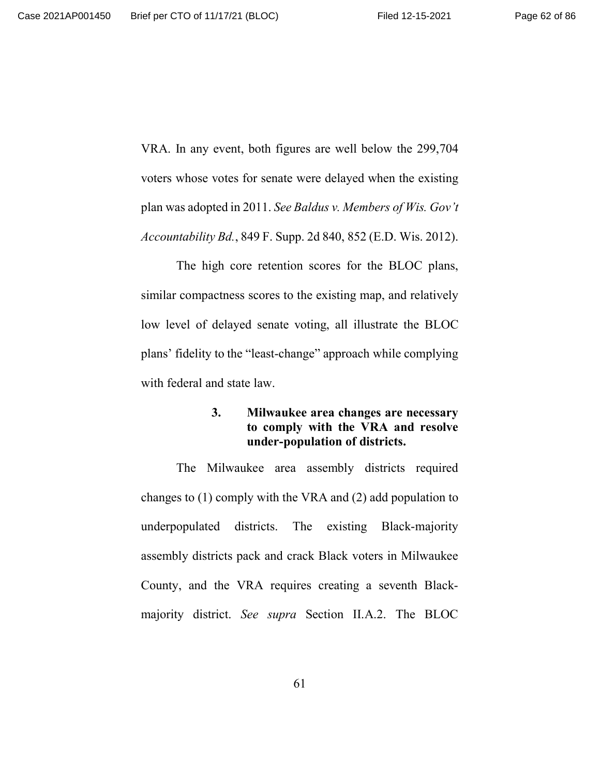VRA. In any event, both figures are well below the 299,704 voters whose votes for senate were delayed when the existing plan was adopted in 2011. *See Baldus v. Members of Wis. Gov't Accountability Bd.*, 849 F. Supp. 2d 840, 852 (E.D. Wis. 2012).

The high core retention scores for the BLOC plans, similar compactness scores to the existing map, and relatively low level of delayed senate voting, all illustrate the BLOC plans' fidelity to the "least-change" approach while complying with federal and state law.

# **3. Milwaukee area changes are necessary to comply with the VRA and resolve under-population of districts.**

The Milwaukee area assembly districts required changes to (1) comply with the VRA and (2) add population to underpopulated districts. The existing Black-majority assembly districts pack and crack Black voters in Milwaukee County, and the VRA requires creating a seventh Blackmajority district. *See supra* Section II.A.2. The BLOC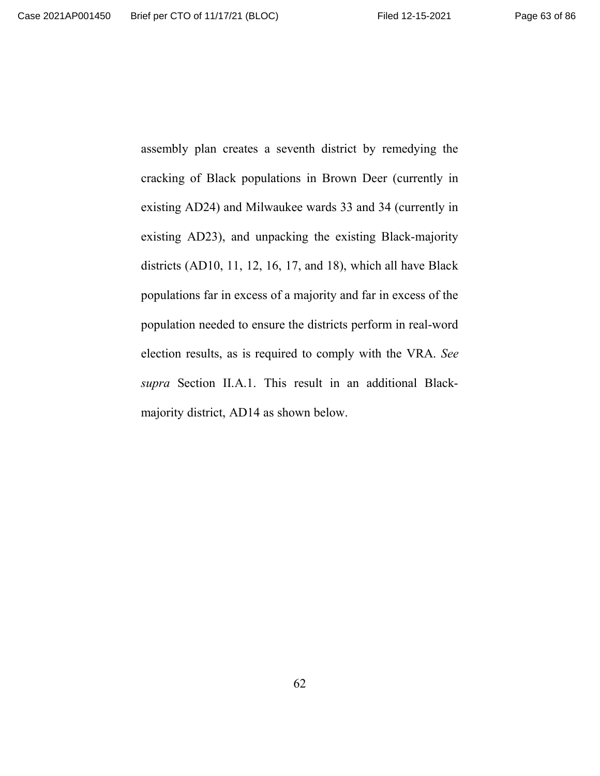assembly plan creates a seventh district by remedying the cracking of Black populations in Brown Deer (currently in existing AD24) and Milwaukee wards 33 and 34 (currently in existing AD23), and unpacking the existing Black-majority districts (AD10, 11, 12, 16, 17, and 18), which all have Black populations far in excess of a majority and far in excess of the population needed to ensure the districts perform in real-word election results, as is required to comply with the VRA. *See supra* Section II.A.1. This result in an additional Blackmajority district, AD14 as shown below.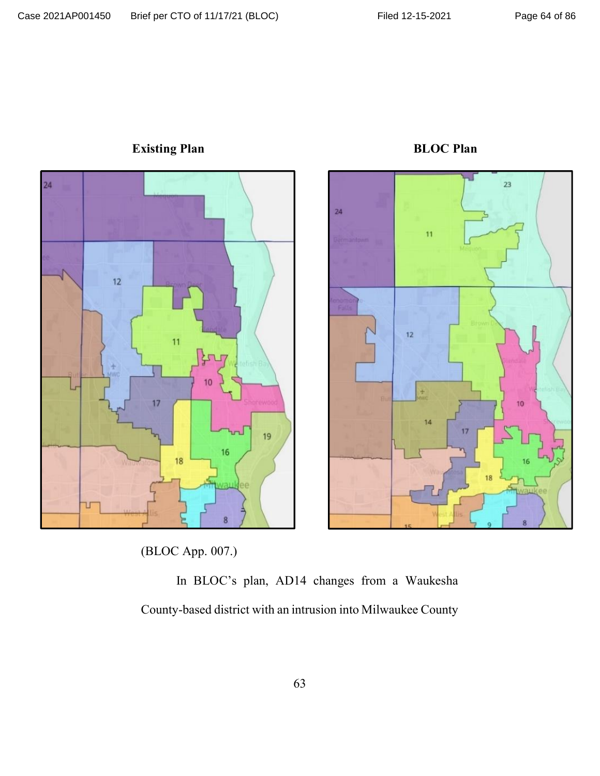

**Existing Plan BLOC Plan** 

(BLOC App. 007.)

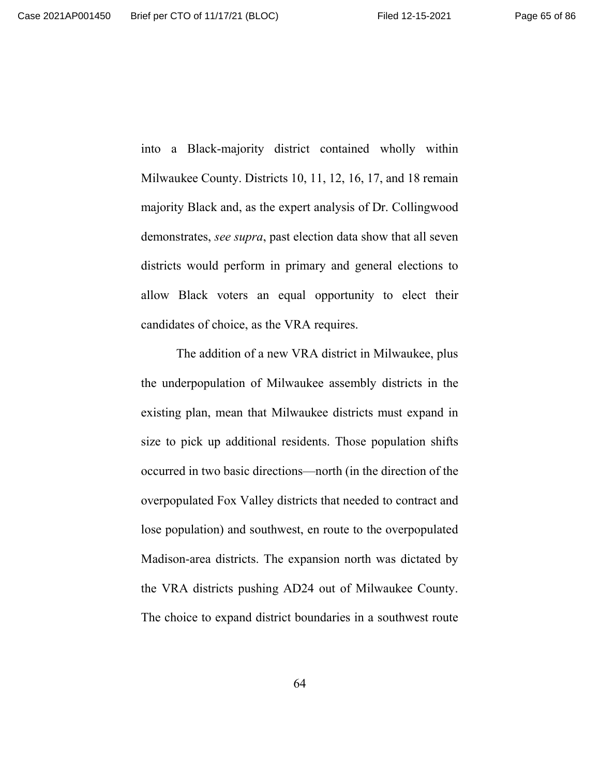into a Black-majority district contained wholly within Milwaukee County. Districts 10, 11, 12, 16, 17, and 18 remain majority Black and, as the expert analysis of Dr. Collingwood demonstrates, *see supra*, past election data show that all seven districts would perform in primary and general elections to allow Black voters an equal opportunity to elect their candidates of choice, as the VRA requires.

The addition of a new VRA district in Milwaukee, plus the underpopulation of Milwaukee assembly districts in the existing plan, mean that Milwaukee districts must expand in size to pick up additional residents. Those population shifts occurred in two basic directions—north (in the direction of the overpopulated Fox Valley districts that needed to contract and lose population) and southwest, en route to the overpopulated Madison-area districts. The expansion north was dictated by the VRA districts pushing AD24 out of Milwaukee County. The choice to expand district boundaries in a southwest route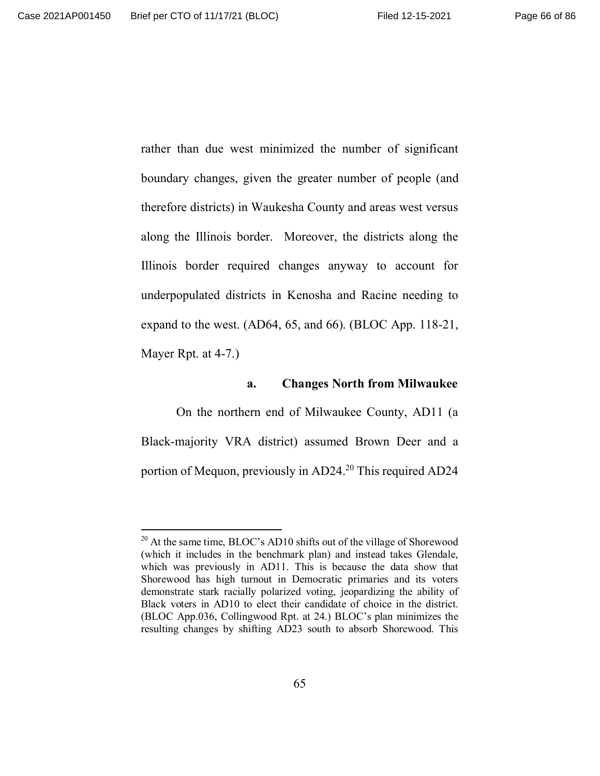rather than due west minimized the number of significant boundary changes, given the greater number of people (and therefore districts) in Waukesha County and areas west versus along the Illinois border. Moreover, the districts along the Illinois border required changes anyway to account for underpopulated districts in Kenosha and Racine needing to expand to the west. (AD64, 65, and 66). (BLOC App. 118-21, Mayer Rpt. at 4-7.)

#### **a. Changes North from Milwaukee**

On the northern end of Milwaukee County, AD11 (a Black-majority VRA district) assumed Brown Deer and a portion of Mequon, previously in AD24.<sup>20</sup> This required AD24

 $20$  At the same time, BLOC's AD10 shifts out of the village of Shorewood (which it includes in the benchmark plan) and instead takes Glendale, which was previously in AD11. This is because the data show that Shorewood has high turnout in Democratic primaries and its voters demonstrate stark racially polarized voting, jeopardizing the ability of Black voters in AD10 to elect their candidate of choice in the district. (BLOC App.036, Collingwood Rpt. at 24.) BLOC's plan minimizes the resulting changes by shifting AD23 south to absorb Shorewood. This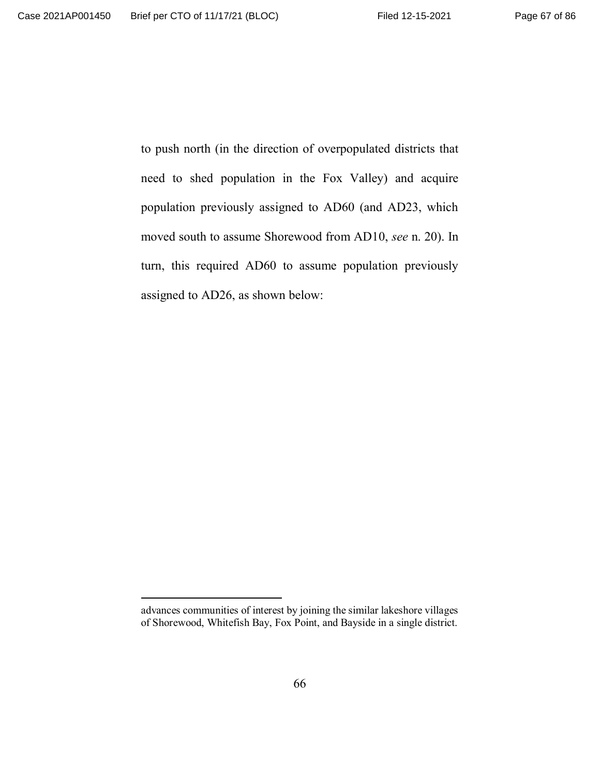to push north (in the direction of overpopulated districts that need to shed population in the Fox Valley) and acquire population previously assigned to AD60 (and AD23, which moved south to assume Shorewood from AD10, *see* n. 20). In turn, this required AD60 to assume population previously assigned to AD26, as shown below:

advances communities of interest by joining the similar lakeshore villages of Shorewood, Whitefish Bay, Fox Point, and Bayside in a single district.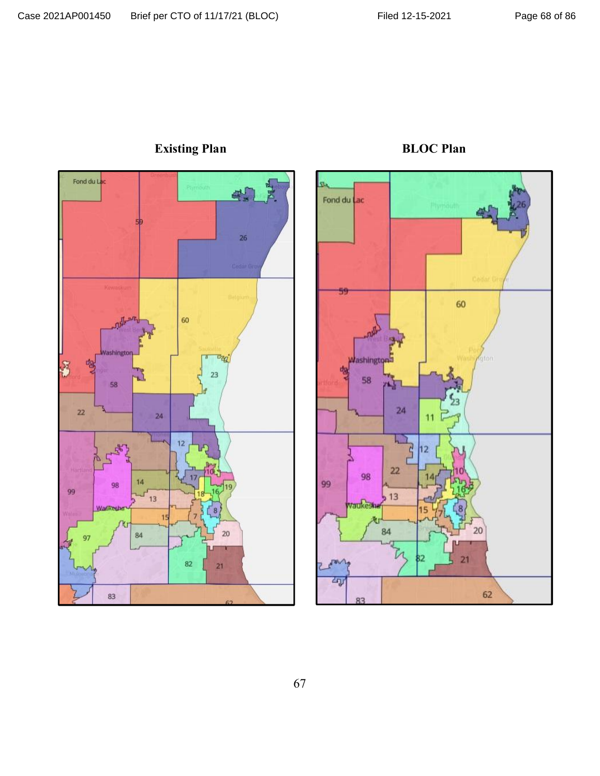

# **Existing Plan BLOC Plan**

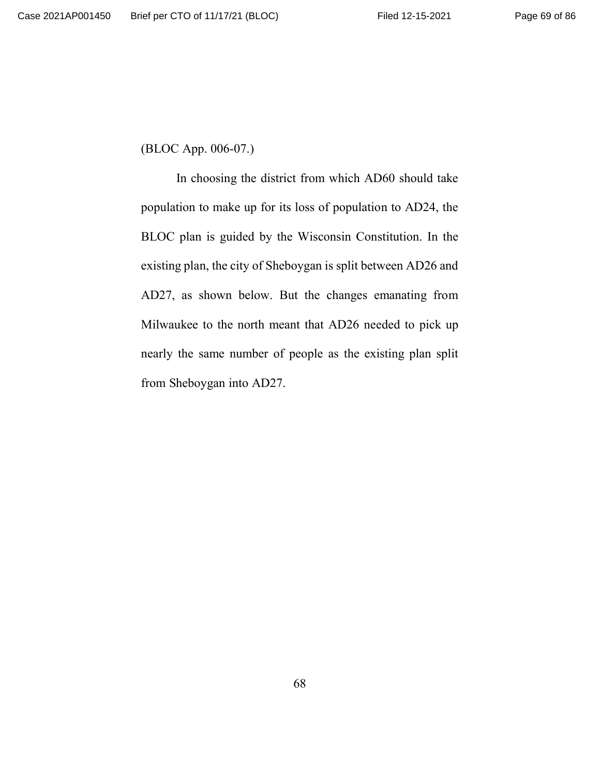(BLOC App. 006-07.)

In choosing the district from which AD60 should take population to make up for its loss of population to AD24, the BLOC plan is guided by the Wisconsin Constitution. In the existing plan, the city of Sheboygan is split between AD26 and AD27, as shown below. But the changes emanating from Milwaukee to the north meant that AD26 needed to pick up nearly the same number of people as the existing plan split from Sheboygan into AD27.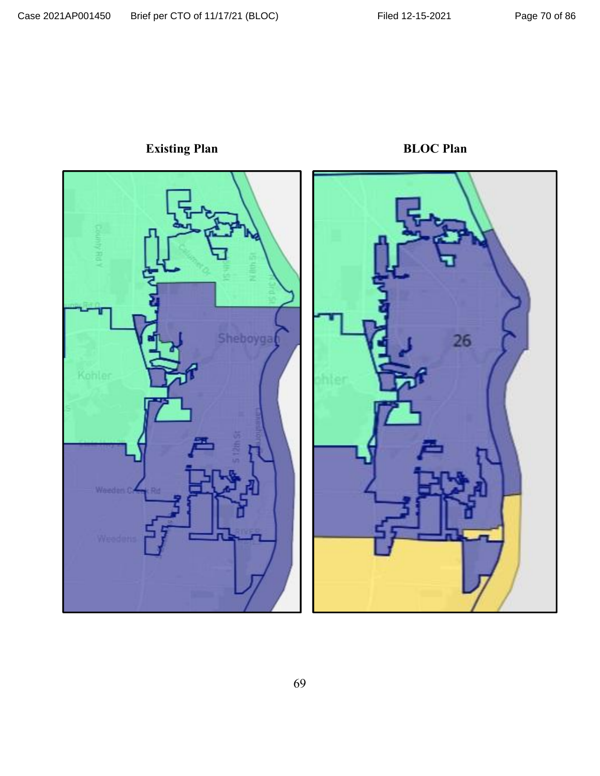

**Existing Plan BLOC Plan**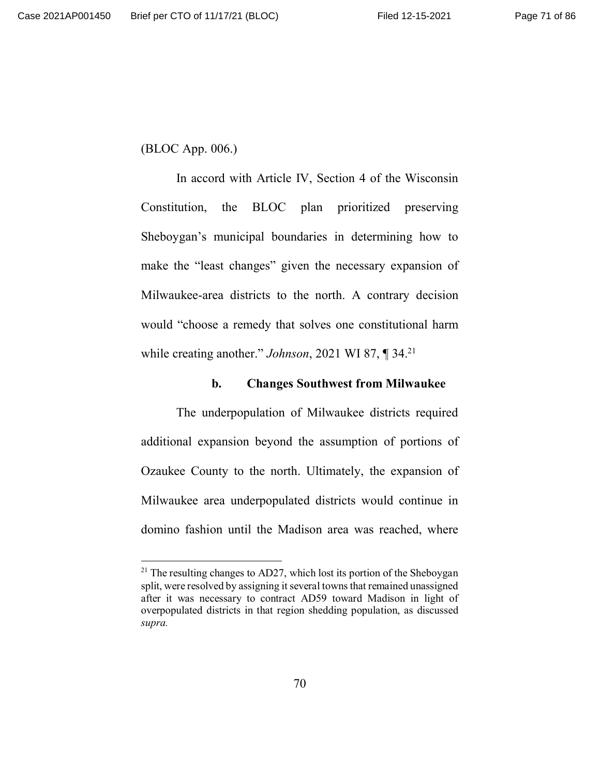(BLOC App. 006.)

In accord with Article IV, Section 4 of the Wisconsin Constitution, the BLOC plan prioritized preserving Sheboygan's municipal boundaries in determining how to make the "least changes" given the necessary expansion of Milwaukee-area districts to the north. A contrary decision would "choose a remedy that solves one constitutional harm while creating another." *Johnson*, 2021 WI 87, ¶ 34.<sup>21</sup>

## **b. Changes Southwest from Milwaukee**

The underpopulation of Milwaukee districts required additional expansion beyond the assumption of portions of Ozaukee County to the north. Ultimately, the expansion of Milwaukee area underpopulated districts would continue in domino fashion until the Madison area was reached, where

 $^{21}$  The resulting changes to AD27, which lost its portion of the Sheboygan split, were resolved by assigning it several towns that remained unassigned after it was necessary to contract AD59 toward Madison in light of overpopulated districts in that region shedding population, as discussed *supra.*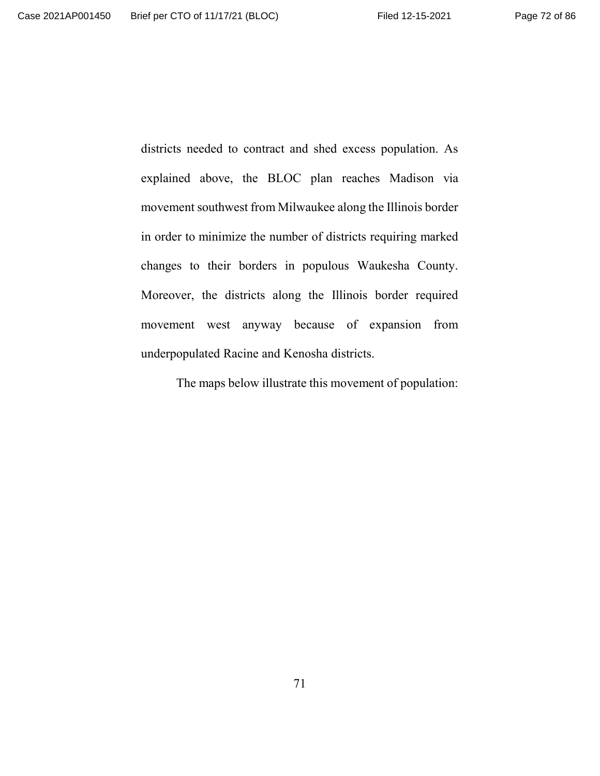districts needed to contract and shed excess population. As explained above, the BLOC plan reaches Madison via movement southwest from Milwaukee along the Illinois border in order to minimize the number of districts requiring marked changes to their borders in populous Waukesha County. Moreover, the districts along the Illinois border required movement west anyway because of expansion from underpopulated Racine and Kenosha districts.

The maps below illustrate this movement of population: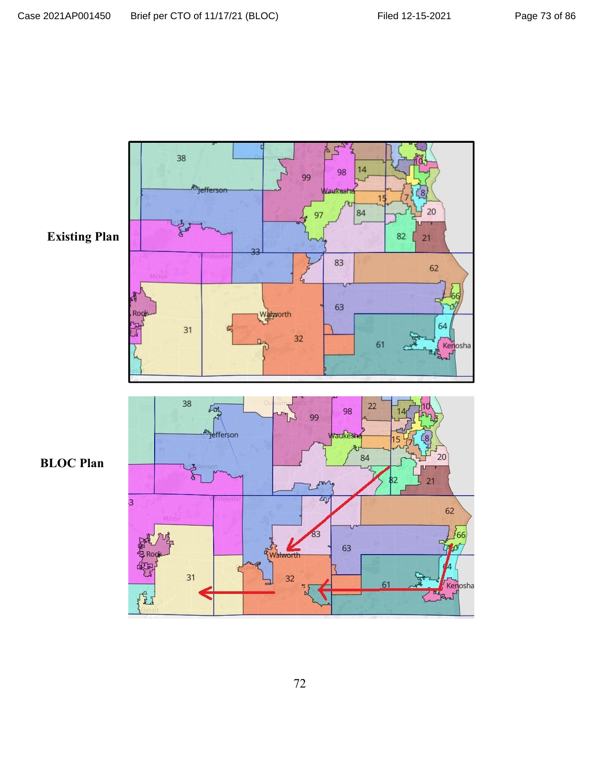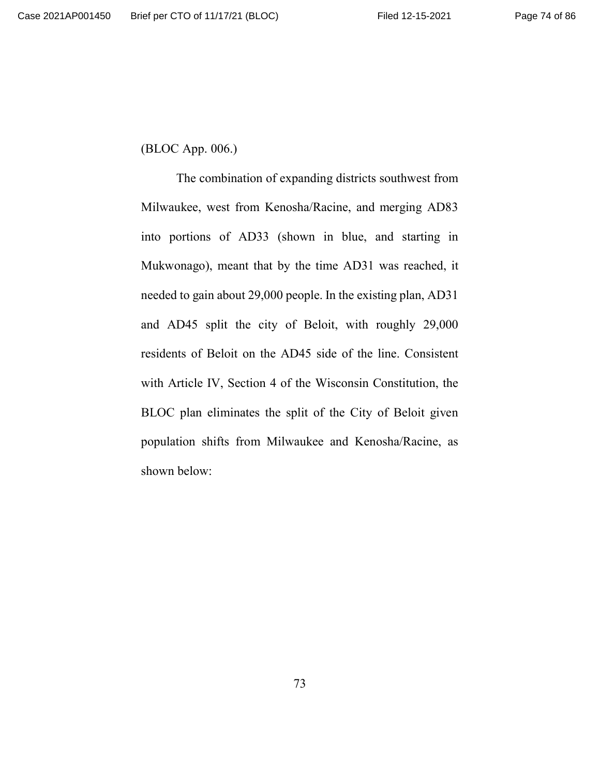(BLOC App. 006.)

The combination of expanding districts southwest from Milwaukee, west from Kenosha/Racine, and merging AD83 into portions of AD33 (shown in blue, and starting in Mukwonago), meant that by the time AD31 was reached, it needed to gain about 29,000 people. In the existing plan, AD31 and AD45 split the city of Beloit, with roughly 29,000 residents of Beloit on the AD45 side of the line. Consistent with Article IV, Section 4 of the Wisconsin Constitution, the BLOC plan eliminates the split of the City of Beloit given population shifts from Milwaukee and Kenosha/Racine, as shown below: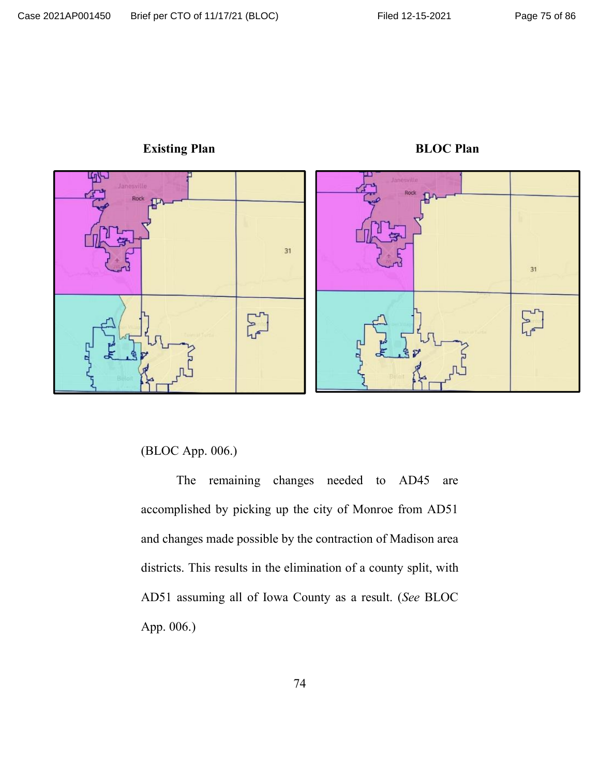

**Existing Plan BLOC Plan** 

(BLOC App. 006.)

The remaining changes needed to AD45 are accomplished by picking up the city of Monroe from AD51 and changes made possible by the contraction of Madison area districts. This results in the elimination of a county split, with AD51 assuming all of Iowa County as a result. (*See* BLOC App. 006.)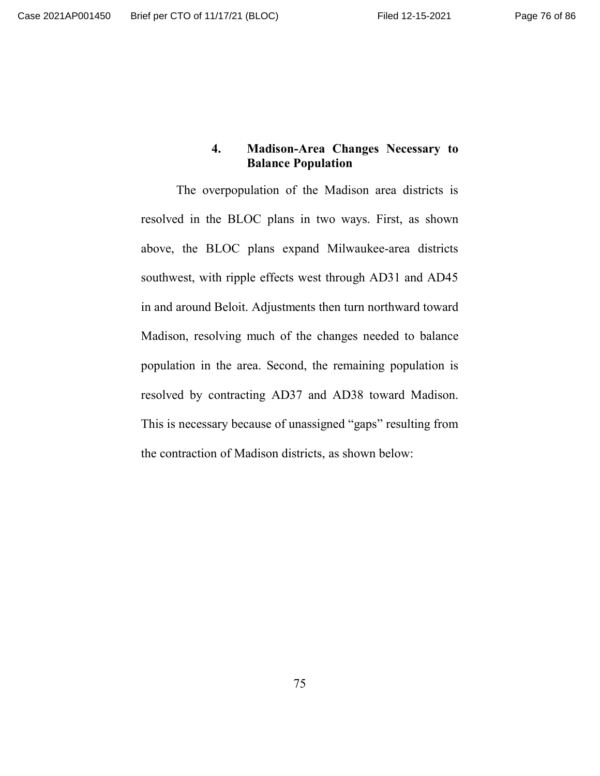## **4. Madison-Area Changes Necessary to Balance Population**

The overpopulation of the Madison area districts is resolved in the BLOC plans in two ways. First, as shown above, the BLOC plans expand Milwaukee-area districts southwest, with ripple effects west through AD31 and AD45 in and around Beloit. Adjustments then turn northward toward Madison, resolving much of the changes needed to balance population in the area. Second, the remaining population is resolved by contracting AD37 and AD38 toward Madison. This is necessary because of unassigned "gaps" resulting from the contraction of Madison districts, as shown below: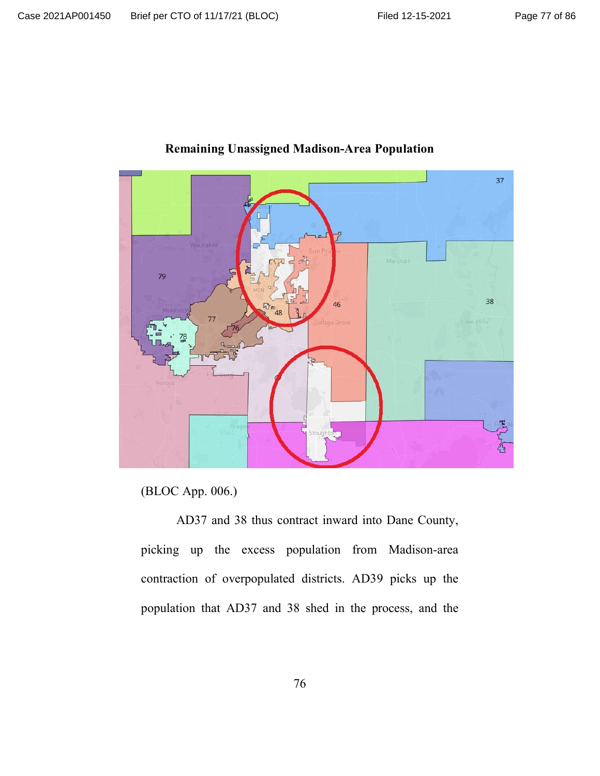

## **Remaining Unassigned Madison-Area Population**

(BLOC App. 006.)

AD37 and 38 thus contract inward into Dane County, picking up the excess population from Madison-area contraction of overpopulated districts. AD39 picks up the population that AD37 and 38 shed in the process, and the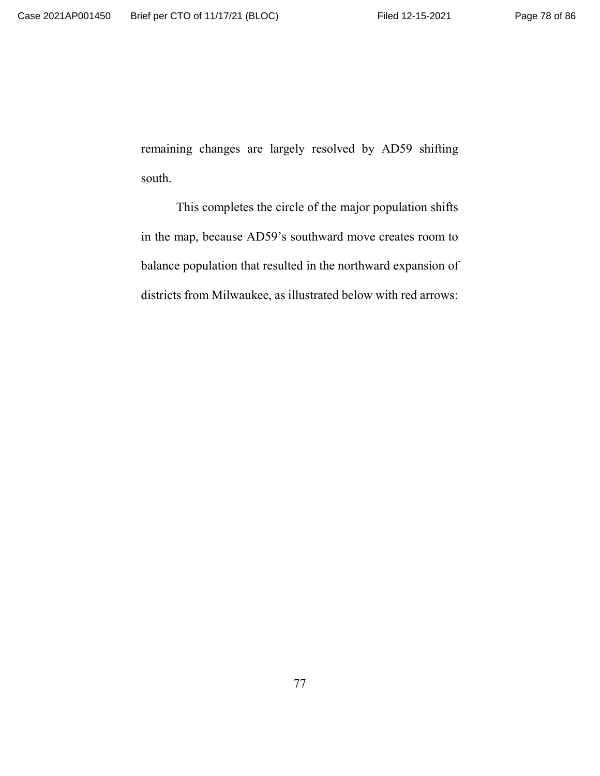remaining changes are largely resolved by AD59 shifting south.

This completes the circle of the major population shifts in the map, because AD59's southward move creates room to balance population that resulted in the northward expansion of districts from Milwaukee, as illustrated below with red arrows: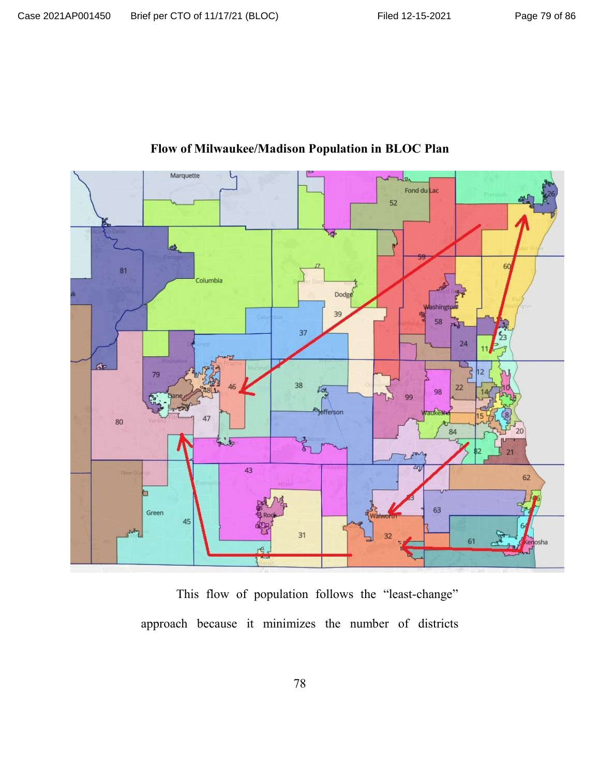

# **Flow of Milwaukee/Madison Population in BLOC Plan**

This flow of population follows the "least-change" approach because it minimizes the number of districts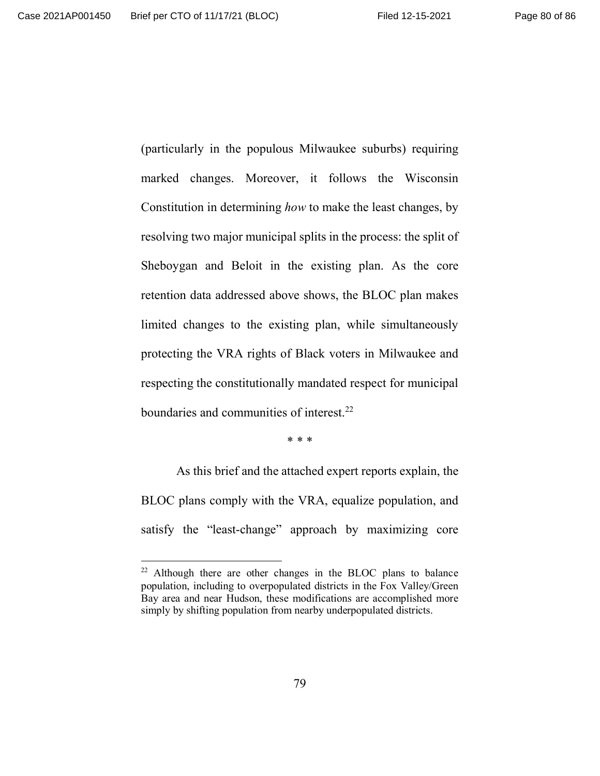(particularly in the populous Milwaukee suburbs) requiring marked changes. Moreover, it follows the Wisconsin Constitution in determining *how* to make the least changes, by resolving two major municipal splits in the process: the split of Sheboygan and Beloit in the existing plan. As the core retention data addressed above shows, the BLOC plan makes limited changes to the existing plan, while simultaneously protecting the VRA rights of Black voters in Milwaukee and respecting the constitutionally mandated respect for municipal boundaries and communities of interest.<sup>22</sup>

\* \* \*

As this brief and the attached expert reports explain, the BLOC plans comply with the VRA, equalize population, and satisfy the "least-change" approach by maximizing core

 $22$  Although there are other changes in the BLOC plans to balance population, including to overpopulated districts in the Fox Valley/Green Bay area and near Hudson, these modifications are accomplished more simply by shifting population from nearby underpopulated districts.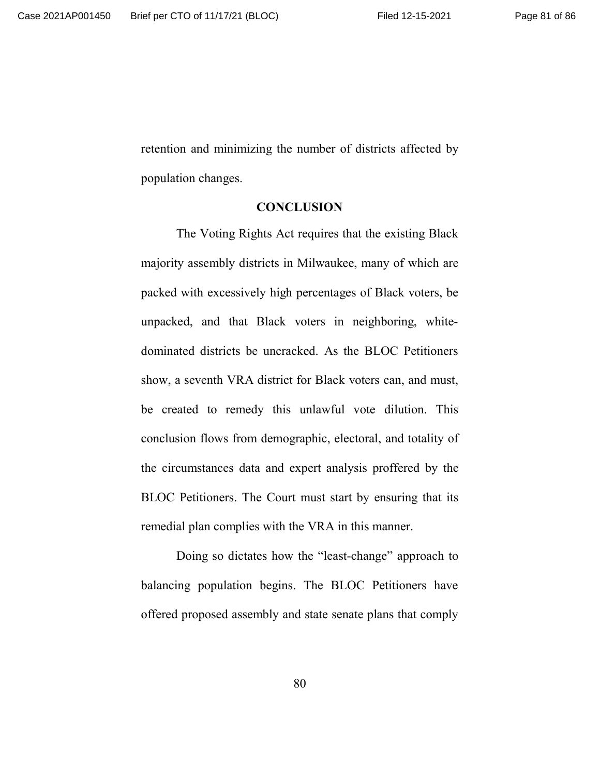retention and minimizing the number of districts affected by population changes.

#### **CONCLUSION**

The Voting Rights Act requires that the existing Black majority assembly districts in Milwaukee, many of which are packed with excessively high percentages of Black voters, be unpacked, and that Black voters in neighboring, whitedominated districts be uncracked. As the BLOC Petitioners show, a seventh VRA district for Black voters can, and must, be created to remedy this unlawful vote dilution. This conclusion flows from demographic, electoral, and totality of the circumstances data and expert analysis proffered by the BLOC Petitioners. The Court must start by ensuring that its remedial plan complies with the VRA in this manner.

Doing so dictates how the "least-change" approach to balancing population begins. The BLOC Petitioners have offered proposed assembly and state senate plans that comply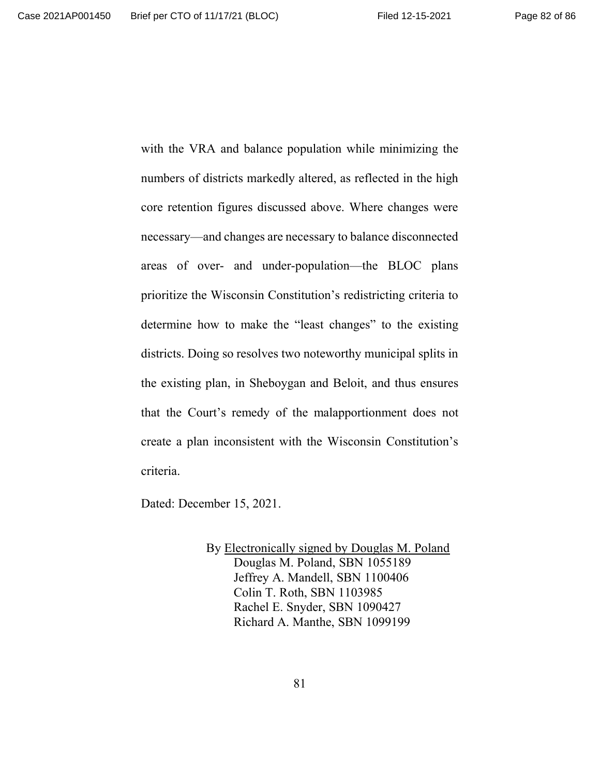with the VRA and balance population while minimizing the numbers of districts markedly altered, as reflected in the high core retention figures discussed above. Where changes were necessary—and changes are necessary to balance disconnected areas of over- and under-population—the BLOC plans prioritize the Wisconsin Constitution's redistricting criteria to determine how to make the "least changes" to the existing districts. Doing so resolves two noteworthy municipal splits in the existing plan, in Sheboygan and Beloit, and thus ensures that the Court's remedy of the malapportionment does not create a plan inconsistent with the Wisconsin Constitution's criteria.

Dated: December 15, 2021.

By **Electronically signed by Douglas M. Poland** Douglas M. Poland, SBN 1055189 Jeffrey A. Mandell, SBN 1100406 Colin T. Roth, SBN 1103985 Rachel E. Snyder, SBN 1090427 Richard A. Manthe, SBN 1099199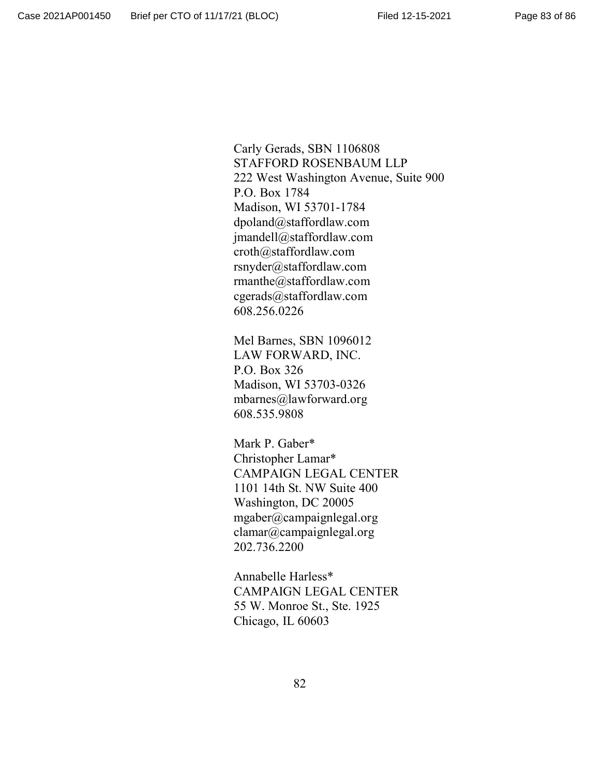Carly Gerads, SBN 1106808 STAFFORD ROSENBAUM LLP 222 West Washington Avenue, Suite 900 P.O. Box 1784 Madison, WI 53701-1784 dpoland@staffordlaw.com jmandell@staffordlaw.com croth@staffordlaw.com rsnyder@staffordlaw.com rmanthe@staffordlaw.com cgerads@staffordlaw.com 608.256.0226

Mel Barnes, SBN 1096012 LAW FORWARD, INC. P.O. Box 326 Madison, WI 53703-0326 mbarnes@lawforward.org 608.535.9808

Mark P. Gaber\* Christopher Lamar\* CAMPAIGN LEGAL CENTER 1101 14th St. NW Suite 400 Washington, DC 20005 mgaber@campaignlegal.org clamar@campaignlegal.org 202.736.2200

Annabelle Harless\* CAMPAIGN LEGAL CENTER 55 W. Monroe St., Ste. 1925 Chicago, IL 60603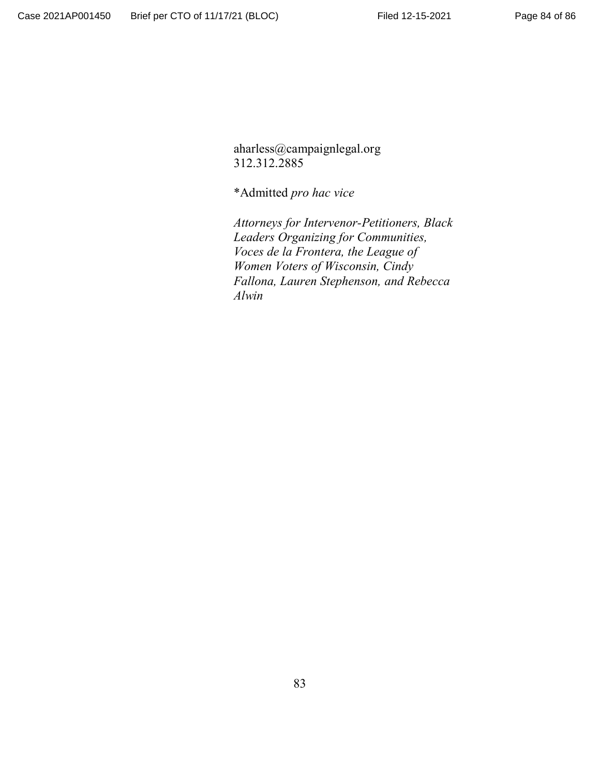aharless@campaignlegal.org 312.312.2885

\*Admitted *pro hac vice*

*Attorneys for Intervenor-Petitioners, Black Leaders Organizing for Communities, Voces de la Frontera, the League of Women Voters of Wisconsin, Cindy Fallona, Lauren Stephenson, and Rebecca Alwin*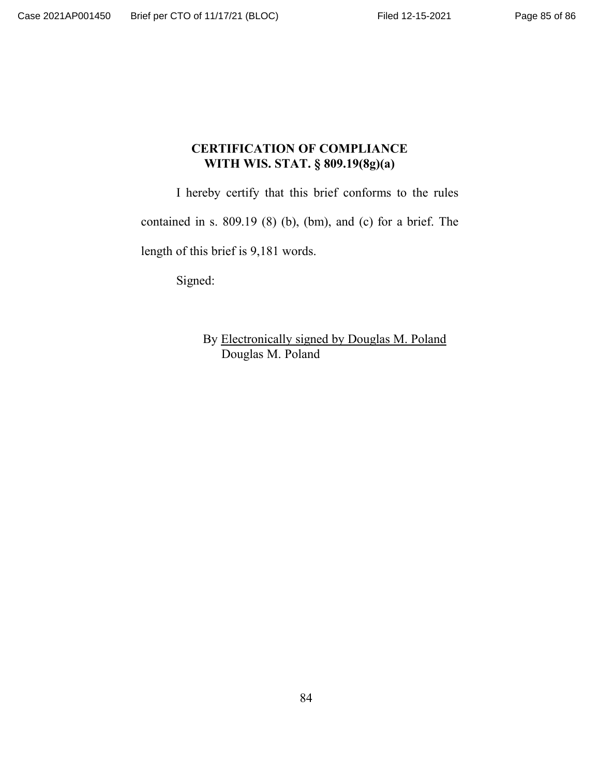## **CERTIFICATION OF COMPLIANCE WITH WIS. STAT. § 809.19(8g)(a)**

I hereby certify that this brief conforms to the rules

contained in s. 809.19 (8) (b), (bm), and (c) for a brief. The

length of this brief is 9,181 words.

Signed:

By Electronically signed by Douglas M. Poland Douglas M. Poland